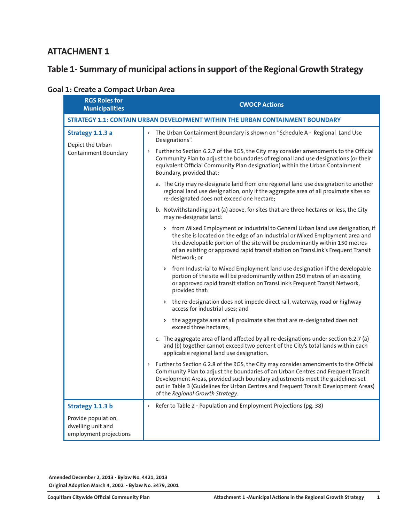### **ATTACHMENT 1**

# **Table 1- Summary of municipal actions in support of the Regional Growth Strategy**

|  |  |  | <b>Goal 1: Create a Compact Urban Area</b> |  |  |
|--|--|--|--------------------------------------------|--|--|
|--|--|--|--------------------------------------------|--|--|

| <b>RGS Roles for</b><br><b>Municipalities</b>                      | <b>CWOCP Actions</b>                                                                                                                                                                                                                                                                                                                                                                     |
|--------------------------------------------------------------------|------------------------------------------------------------------------------------------------------------------------------------------------------------------------------------------------------------------------------------------------------------------------------------------------------------------------------------------------------------------------------------------|
|                                                                    | STRATEGY 1.1: CONTAIN URBAN DEVELOPMENT WITHIN THE URBAN CONTAINMENT BOUNDARY                                                                                                                                                                                                                                                                                                            |
| Strategy 1.1.3 a                                                   | > The Urban Containment Boundary is shown on "Schedule A - Regional Land Use<br>Designations".                                                                                                                                                                                                                                                                                           |
| Depict the Urban<br><b>Containment Boundary</b>                    | Further to Section 6.2.7 of the RGS, the City may consider amendments to the Official<br>Þ.<br>Community Plan to adjust the boundaries of regional land use designations (or their<br>equivalent Official Community Plan designation) within the Urban Containment<br>Boundary, provided that:                                                                                           |
|                                                                    | a. The City may re-designate land from one regional land use designation to another<br>regional land use designation, only if the aggregate area of all proximate sites so<br>re-designated does not exceed one hectare;                                                                                                                                                                 |
|                                                                    | b. Notwithstanding part (a) above, for sites that are three hectares or less, the City<br>may re-designate land:                                                                                                                                                                                                                                                                         |
|                                                                    | > from Mixed Employment or Industrial to General Urban land use designation, if<br>the site is located on the edge of an Industrial or Mixed Employment area and<br>the developable portion of the site will be predominantly within 150 metres<br>of an existing or approved rapid transit station on TransLink's Frequent Transit<br>Network; or                                       |
|                                                                    | from Industrial to Mixed Employment land use designation if the developable<br>$\triangleright$<br>portion of the site will be predominantly within 250 metres of an existing<br>or approved rapid transit station on TransLink's Frequent Transit Network,<br>provided that:                                                                                                            |
|                                                                    | > the re-designation does not impede direct rail, waterway, road or highway<br>access for industrial uses; and                                                                                                                                                                                                                                                                           |
|                                                                    | > the aggregate area of all proximate sites that are re-designated does not<br>exceed three hectares;                                                                                                                                                                                                                                                                                    |
|                                                                    | c. The aggregate area of land affected by all re-designations under section 6.2.7 (a)<br>and (b) together cannot exceed two percent of the City's total lands within each<br>applicable regional land use designation.                                                                                                                                                                   |
|                                                                    | > Further to Section 6.2.8 of the RGS, the City may consider amendments to the Official<br>Community Plan to adjust the boundaries of an Urban Centres and Frequent Transit<br>Development Areas, provided such boundary adjustments meet the guidelines set<br>out in Table 3 (Guidelines for Urban Centres and Frequent Transit Development Areas)<br>of the Regional Growth Strategy. |
| Strategy 1.1.3 b                                                   | Refer to Table 2 - Population and Employment Projections (pg. 38)<br>Þ                                                                                                                                                                                                                                                                                                                   |
| Provide population,<br>dwelling unit and<br>employment projections |                                                                                                                                                                                                                                                                                                                                                                                          |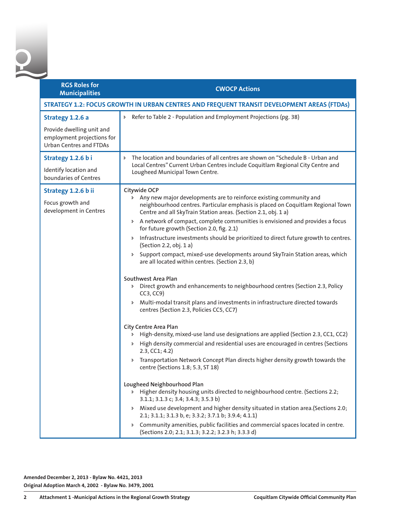| <b>RGS Roles for</b><br><b>Municipalities</b>                                             | <b>CWOCP Actions</b>                                                                                                                                                                                                                                                                                                                                                                                                                                                                                                                                                                                                                                         |
|-------------------------------------------------------------------------------------------|--------------------------------------------------------------------------------------------------------------------------------------------------------------------------------------------------------------------------------------------------------------------------------------------------------------------------------------------------------------------------------------------------------------------------------------------------------------------------------------------------------------------------------------------------------------------------------------------------------------------------------------------------------------|
|                                                                                           | STRATEGY 1.2: FOCUS GROWTH IN URBAN CENTRES AND FREQUENT TRANSIT DEVELOPMENT AREAS (FTDAs)                                                                                                                                                                                                                                                                                                                                                                                                                                                                                                                                                                   |
| Strategy 1.2.6 a                                                                          | > Refer to Table 2 - Population and Employment Projections (pg. 38)                                                                                                                                                                                                                                                                                                                                                                                                                                                                                                                                                                                          |
| Provide dwelling unit and<br>employment projections for<br><b>Urban Centres and FTDAs</b> |                                                                                                                                                                                                                                                                                                                                                                                                                                                                                                                                                                                                                                                              |
| Strategy 1.2.6 bi                                                                         | The location and boundaries of all centres are shown on "Schedule B - Urban and                                                                                                                                                                                                                                                                                                                                                                                                                                                                                                                                                                              |
| Identify location and<br>boundaries of Centres                                            | Local Centres" Current Urban Centres include Coquitlam Regional City Centre and<br>Lougheed Municipal Town Centre.                                                                                                                                                                                                                                                                                                                                                                                                                                                                                                                                           |
| Strategy 1.2.6 b ii<br>Focus growth and<br>development in Centres                         | Citywide OCP<br>> Any new major developments are to reinforce existing community and<br>neighbourhood centres. Particular emphasis is placed on Coquitlam Regional Town<br>Centre and all SkyTrain Station areas. (Section 2.1, obj. 1 a)                                                                                                                                                                                                                                                                                                                                                                                                                    |
|                                                                                           | > A network of compact, complete communities is envisioned and provides a focus<br>for future growth (Section 2.0, fig. 2.1)                                                                                                                                                                                                                                                                                                                                                                                                                                                                                                                                 |
|                                                                                           | > Infrastructure investments should be prioritized to direct future growth to centres.<br>(Section 2.2, obj. 1 a)                                                                                                                                                                                                                                                                                                                                                                                                                                                                                                                                            |
|                                                                                           | Support compact, mixed-use developments around SkyTrain Station areas, which<br>are all located within centres. (Section 2.3, b)                                                                                                                                                                                                                                                                                                                                                                                                                                                                                                                             |
|                                                                                           | Southwest Area Plan<br>> Direct growth and enhancements to neighbourhood centres (Section 2.3, Policy<br>CC3, CC9)<br>Multi-modal transit plans and investments in infrastructure directed towards<br>Þ.<br>centres (Section 2.3, Policies CC5, CC7)                                                                                                                                                                                                                                                                                                                                                                                                         |
|                                                                                           | City Centre Area Plan<br>High-density, mixed-use land use designations are applied (Section 2.3, CC1, CC2)<br>High density commercial and residential uses are encouraged in centres (Sections<br>2.3, CC1; 4.2)<br>Transportation Network Concept Plan directs higher density growth towards the<br>Þ.<br>centre (Sections 1.8; 5.3, ST 18)<br>Lougheed Neighbourhood Plan<br>> Higher density housing units directed to neighbourhood centre. (Sections 2.2;<br>3.1.1; 3.1.3 c; 3.4; 3.4.3; 3.5.3 b)<br>> Mixed use development and higher density situated in station area. (Sections 2.0;<br>2.1; 3.1.1; 3.1.3 b, e; 3.3.2; 3.7.1 b; 3.9.4; 4.1.1)<br>Þ. |
|                                                                                           | Community amenities, public facilities and commercial spaces located in centre.<br>(Sections 2.0; 2.1; 3.1.3; 3.2.2; 3.2.3 h; 3.3.3 d)                                                                                                                                                                                                                                                                                                                                                                                                                                                                                                                       |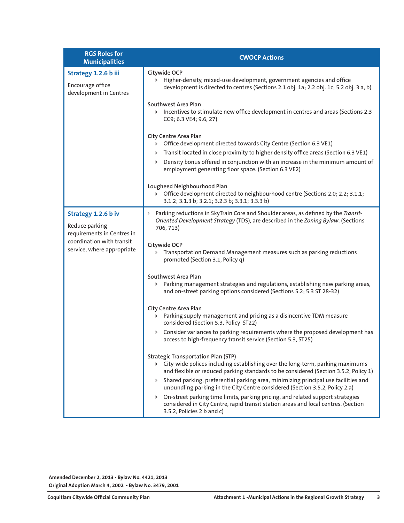| <b>RGS Roles for</b><br><b>Municipalities</b>                                                                                  | <b>CWOCP Actions</b>                                                                                                                                                                                                                                                                                                                     |
|--------------------------------------------------------------------------------------------------------------------------------|------------------------------------------------------------------------------------------------------------------------------------------------------------------------------------------------------------------------------------------------------------------------------------------------------------------------------------------|
| Strategy 1.2.6 b iii<br>Encourage office<br>development in Centres                                                             | Citywide OCP<br>Higher-density, mixed-use development, government agencies and office<br>$\triangleright$<br>development is directed to centres (Sections 2.1 obj. 1a; 2.2 obj. 1c; 5.2 obj. 3 a, b)                                                                                                                                     |
|                                                                                                                                | Southwest Area Plan<br>> Incentives to stimulate new office development in centres and areas (Sections 2.3<br>CC9; 6.3 VE4; 9.6, 27)                                                                                                                                                                                                     |
|                                                                                                                                | City Centre Area Plan<br>> Office development directed towards City Centre (Section 6.3 VE1)<br>Transit located in close proximity to higher density office areas (Section 6.3 VE1)<br>Þ.<br>Density bonus offered in conjunction with an increase in the minimum amount of<br>Þ<br>employment generating floor space. (Section 6.3 VE2) |
|                                                                                                                                | Lougheed Neighbourhood Plan<br>Office development directed to neighbourhood centre (Sections 2.0; 2.2; 3.1.1;<br>$\triangleright$<br>3.1.2; 3.1.3 b; 3.2.1; 3.2.3 b; 3.3.1; 3.3.3 b)                                                                                                                                                     |
| Strategy 1.2.6 b iv<br>Reduce parking<br>requirements in Centres in<br>coordination with transit<br>service, where appropriate | Parking reductions in SkyTrain Core and Shoulder areas, as defined by the Transit-<br>Þ<br>Oriented Development Strategy (TDS), are described in the Zoning Bylaw. (Sections<br>706, 713)                                                                                                                                                |
|                                                                                                                                | Citywide OCP<br>Transportation Demand Management measures such as parking reductions<br>Þ.<br>promoted (Section 3.1, Policy q)                                                                                                                                                                                                           |
|                                                                                                                                | Southwest Area Plan<br>Parking management strategies and regulations, establishing new parking areas,<br>Þ.<br>and on-street parking options considered (Sections 5.2; 5.3 ST 28-32)                                                                                                                                                     |
|                                                                                                                                | City Centre Area Plan<br>Parking supply management and pricing as a disincentive TDM measure<br>Þ.<br>considered (Section 5.3, Policy ST22)                                                                                                                                                                                              |
|                                                                                                                                | Consider variances to parking requirements where the proposed development has<br>Þ.<br>access to high-frequency transit service (Section 5.3, ST25)                                                                                                                                                                                      |
|                                                                                                                                | <b>Strategic Transportation Plan (STP)</b><br>> City-wide polices including establishing over the long-term, parking maximums<br>and flexible or reduced parking standards to be considered (Section 3.5.2, Policy 1)                                                                                                                    |
|                                                                                                                                | Shared parking, preferential parking area, minimizing principal use facilities and<br>Þ.<br>unbundling parking in the City Centre considered (Section 3.5.2, Policy 2.a)                                                                                                                                                                 |
|                                                                                                                                | On-street parking time limits, parking pricing, and related support strategies<br>considered in City Centre, rapid transit station areas and local centres. (Section<br>3.5.2, Policies 2 b and c)                                                                                                                                       |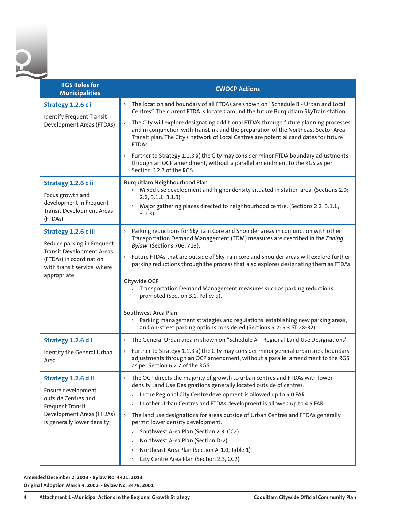| <b>RGS Roles for</b><br><b>Municipalities</b>                                                                                                                   | <b>CWOCP Actions</b>                                                                                                                                                                                                                                                                                                                                                                                                                                                                                                                                                                                                                                          |
|-----------------------------------------------------------------------------------------------------------------------------------------------------------------|---------------------------------------------------------------------------------------------------------------------------------------------------------------------------------------------------------------------------------------------------------------------------------------------------------------------------------------------------------------------------------------------------------------------------------------------------------------------------------------------------------------------------------------------------------------------------------------------------------------------------------------------------------------|
| Strategy 1.2.6 ci<br><b>Identify Frequent Transit</b><br>Development Areas (FTDAs)                                                                              | > The location and boundary of all FTDAs are shown on "Schedule B - Urban and Local<br>Centres". The current FTDA is located around the future Burquitlam SkyTrain station.                                                                                                                                                                                                                                                                                                                                                                                                                                                                                   |
|                                                                                                                                                                 | The City will explore designating additional FTDA's through future planning processes,<br>Þ.<br>and in conjunction with TransLink and the preparation of the Northeast Sector Area<br>Transit plan. The City's network of Local Centres are potential candidates for future<br>FTDAs.                                                                                                                                                                                                                                                                                                                                                                         |
|                                                                                                                                                                 | Further to Strategy 1.1.3 a) the City may consider minor FTDA boundary adjustments<br>Þ.<br>through an OCP amendment, without a parallel amendment to the RGS as per<br>Section 6.2.7 of the RGS.                                                                                                                                                                                                                                                                                                                                                                                                                                                             |
| Strategy 1.2.6 c ii<br>Focus growth and<br>development in Frequent<br><b>Transit Development Areas</b><br>(FTDAs)                                               | Burquitlam Neighbourhood Plan<br>> Mixed use development and higher density situated in station area. (Sections 2.0;<br>2.2; 3.1.1; 3.1.3)<br>Major gathering places directed to neighbourhood centre. (Sections 2.2; 3.1.1;<br>Þ.<br>3.1.3)                                                                                                                                                                                                                                                                                                                                                                                                                  |
| Strategy 1.2.6 c iii<br>Reduce parking in Frequent<br><b>Transit Development Areas</b><br>(FTDAs) in coordination<br>with transit service, where<br>appropriate | Parking reductions for SkyTrain Core and Shoulder areas in conjunction with other<br>Þ.<br>Transportation Demand Management (TDM) measures are described in the Zoning<br>Bylaw. (Sections 706, 713).<br>Future FTDAs that are outside of SkyTrain core and shoulder areas will explore further<br>Þ<br>parking reductions through the process that also explores designating them as FTDAs.                                                                                                                                                                                                                                                                  |
|                                                                                                                                                                 | Citywide OCP<br>Transportation Demand Management measures such as parking reductions<br>Þ.<br>promoted (Section 3.1, Policy q).                                                                                                                                                                                                                                                                                                                                                                                                                                                                                                                               |
|                                                                                                                                                                 | Southwest Area Plan<br>> Parking management strategies and regulations, establishing new parking areas,<br>and on-street parking options considered (Sections 5.2; 5.3 ST 28-32)                                                                                                                                                                                                                                                                                                                                                                                                                                                                              |
| Strategy 1.2.6 di                                                                                                                                               | > The General Urban area in shown on "Schedule A - Regional Land Use Designations".                                                                                                                                                                                                                                                                                                                                                                                                                                                                                                                                                                           |
| Identify the General Urban<br>Area                                                                                                                              | Further to Strategy 1.1.3 a) the City may consider minor general urban area boundary<br>Þ<br>adjustments through an OCP amendment, without a parallel amendment to the RGS<br>as per Section 6.2.7 of the RGS.                                                                                                                                                                                                                                                                                                                                                                                                                                                |
| Strategy 1.2.6 d ii<br>Ensure development<br>outside Centres and<br>Frequent Transit<br>Development Areas (FTDAs)<br>is generally lower density                 | The OCP directs the majority of growth to urban centres and FTDAs with lower<br>Þ<br>density Land Use Designations generally located outside of centres.<br>In the Regional City Centre development is allowed up to 5.0 FAR<br>Þ.<br>In other Urban Centres and FTDAs development is allowed up to 4.5 FAR<br>d<br>The land use designations for areas outside of Urban Centres and FTDAs generally<br>Þ<br>permit lower density development.<br>Southwest Area Plan (Section 2.3, CC2)<br>Þ<br>Northwest Area Plan (Section D-2)<br>Þ<br>Northeast Area Plan (Section A-1.0, Table 1)<br>Þ.<br>City Centre Area Plan (Section 2.3, CC2)<br>$\triangleright$ |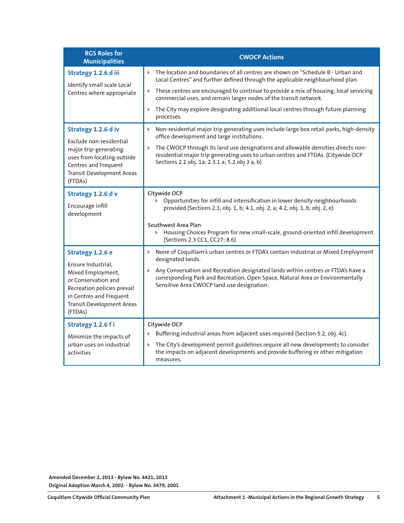| <b>RGS Roles for</b><br><b>Municipalities</b>                                                                                                                                               | <b>CWOCP Actions</b>                                                                                                                                                                                                                                                                                                                                  |
|---------------------------------------------------------------------------------------------------------------------------------------------------------------------------------------------|-------------------------------------------------------------------------------------------------------------------------------------------------------------------------------------------------------------------------------------------------------------------------------------------------------------------------------------------------------|
| Strategy 1.2.6 d iii<br>Identify small scale Local<br>Centres where appropriate                                                                                                             | The location and boundaries of all centres are shown on "Schedule B - Urban and<br>$\triangleright$<br>Local Centres" and further defined through the applicable neighbourhood plan.                                                                                                                                                                  |
|                                                                                                                                                                                             | These centres are encouraged to continue to provide a mix of housing, local servicing<br>Þ.<br>commercial uses, and remain larger nodes of the transit network.                                                                                                                                                                                       |
|                                                                                                                                                                                             | The City may explore designating additional local centres through future planning<br>Þ.<br>processes.                                                                                                                                                                                                                                                 |
| Strategy 1.2.6 d iv<br>Exclude non-residential                                                                                                                                              | Non-residential major trip generating uses include large box retail parks, high-density<br>Þ.<br>office development and large institutions.                                                                                                                                                                                                           |
| major trip-generating<br>uses from locating outside<br>Centres and Frequent<br><b>Transit Development Areas</b><br>(FTDAs)                                                                  | The CWOCP through its land use designations and allowable densities directs non-<br>Þ.<br>residential major trip generating uses to urban centres and FTDAs. (Citywide OCP<br>Sections 2.1 obj. 1a; 2.3.1 a; 5.2 obj 3 a, b)                                                                                                                          |
| Strategy 1.2.6 d v<br>Encourage infill<br>development                                                                                                                                       | Citywide OCP<br>Opportunities for infill and intensification in lower density neighbourhoods<br>$\triangleright$<br>provided (Sections 2.1, obj. 1, b; 4.1, obj. 2, a; 4.2, obj. 1, b, obj. 2, e)                                                                                                                                                     |
|                                                                                                                                                                                             | Southwest Area Plan<br>> Housing Choices Program for new small-scale, ground-oriented infill development.<br>(Sections 2.3 CC1, CC27; 8.6)                                                                                                                                                                                                            |
| Strategy 1.2.6 e<br>Ensure Industrial,<br>Mixed Employment,<br>or Conservation and<br>Recreation policies prevail<br>in Centres and Frequent<br><b>Transit Development Areas</b><br>(FTDAs) | None of Coquitlam's urban centres or FTDA's contain Industrial or Mixed Employment<br>Þ.<br>designated lands.<br>Any Conservation and Recreation designated lands within centres or FTDA's have a<br>$\triangleright$<br>corresponding Park and Recreation, Open Space, Natural Area or Environmentally<br>Sensitive Area CWOCP land use designation. |
| Strategy 1.2.6 fi                                                                                                                                                                           | Citywide OCP                                                                                                                                                                                                                                                                                                                                          |
| Minimize the impacts of<br>urban uses on industrial<br>activities                                                                                                                           | Buffering industrial areas from adjacent uses required (Section 5.2, obj. 4c).<br>Þ.<br>The City's development permit guidelines require all new developments to consider<br>Þ<br>the impacts on adjacent developments and provide buffering or other mitigation<br>measures.                                                                         |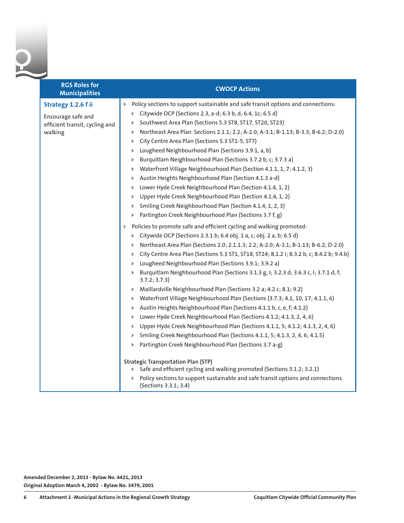

| <b>RGS Roles for</b><br><b>Municipalities</b> | <b>CWOCP Actions</b>                                                                                                       |
|-----------------------------------------------|----------------------------------------------------------------------------------------------------------------------------|
| Strategy 1.2.6 f ii                           | Policy sections to support sustainable and safe transit options and connections:<br>Þ                                      |
| Encourage safe and                            | Citywide OCP (Sections 2.3, a-d; 6.3 b, d; 6.4, 1c; 6.5 d)<br>Þ.                                                           |
| efficient transit, cycling and                | Southwest Area Plan (Sections 5.3 ST8, ST17, ST20, ST23)<br>Þ                                                              |
| walking                                       | Northeast Area Plan Sections 2.1.1; 2.2; A-2.0; A-3.1; B-1.13; B-3.3; B-6.2; D-2.0)<br>Þ                                   |
|                                               | City Centre Area Plan (Sections 5.3 ST1-5, ST7)<br>Þ                                                                       |
|                                               | Lougheed Neighbourhood Plan (Sections 3.9.1, a, b)<br>Þ                                                                    |
|                                               | Burquitlam Neighbourhood Plan (Sections 3.7.2 b, c; 3.7.3 a)<br>Þ                                                          |
|                                               | Waterfront Village Neighbourhood Plan (Section 4.1.1, 1, 7; 4.1.2, 3)<br>Þ                                                 |
|                                               | Austin Heights Neighbourhood Plan (Section 4.1.3 a-d)<br>Þ                                                                 |
|                                               | Lower Hyde Creek Neighbourhood Plan (Section 4.1.4, 1, 2)<br>Þ                                                             |
|                                               | Upper Hyde Creek Neighbourhood Plan (Section 4.1.4, 1, 2)<br>Þ                                                             |
|                                               | Smiling Creek Neighbourhood Plan (Section 4.1.4, 1, 2, 3)<br>Þ                                                             |
|                                               | Partington Creek Neighbourhood Plan (Sections 3.7 f, g)<br>Þ                                                               |
|                                               | Policies to promote safe and efficient cycling and walking promoted:<br>Þ                                                  |
|                                               | Citywide OCP (Sections 2.3.1 b; 6.4 obj. 1 a, c; obj. 2 a, b; 6.5 d)                                                       |
|                                               | Northeast Area Plan (Sections 2.0; 2.1.1.3; 2.2; A-2.0; A-3.1; B-1.13; B-6.2; D-2.0)<br>Þ                                  |
|                                               | City Centre Area Plan (Sections 5.3 ST1, ST18, ST24; 8.1.2 i; 8.3.2 b, c; 8.4.2 b; 9.4.b)<br>Þ                             |
|                                               | Lougheed Neighbourhood Plan (Sections 3.9.1; 3.9.2 a)<br>Þ                                                                 |
|                                               | Burquitlam Neighbourhood Plan (Sections 3.1.3 g, I; 3.2.3 d; 3.6.3 c, I; 3.7.1 d, f;<br>Þ.<br>3.7.2; 3.7.3)                |
|                                               | Maillardville Neighbourhood Plan (Sections 3.2 a; 4.2 c; 8.1; 9.2)<br>Þ                                                    |
|                                               | Waterfront Village Neighbourhood Plan (Sections (3.7.3; 4.1, 10, 17; 4.1.1, 6)<br>Þ.                                       |
|                                               | Austin Heights Neighbourhood Plan (Sections 4.1.1 b, c, e, f; 4.1.2)<br>Þ                                                  |
|                                               | Lower Hyde Creek Neighbourhood Plan (Sections 4.1.2; 4.1.3, 2, 4, 6)<br>Þ                                                  |
|                                               | Upper Hyde Creek Neighbourhood Plan (Sections 4.1.1, 5; 4.1.2; 4.1.3, 2, 4, 6)<br>Þ                                        |
|                                               | Smiling Creek Neighbourhood Plan (Sections 4.1.1, 5; 4.1.3, 2, 4, 6; 4.1.5)<br>Þ.                                          |
|                                               | Partington Creek Neighbourhood Plan (Sections 3.7 a-g)<br>Þ.                                                               |
|                                               | <b>Strategic Transportation Plan (STP)</b><br>Safe and efficient cycling and walking promoted (Sections 3.1.2; 3.2.1)<br>Þ |
|                                               | Policy sections to support sustainable and safe transit options and connections<br>(Sections 3.3.1; 3.4)                   |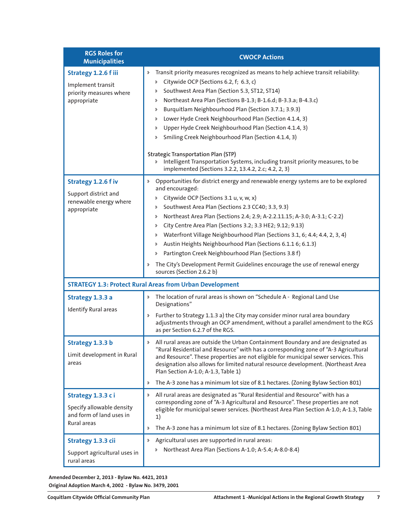| <b>RGS Roles for</b><br><b>Municipalities</b>                                             | <b>CWOCP Actions</b>                                                                                                                                                                                                                                                                                                                                                                                                                                                                                                                                                                                                                                                                                                         |
|-------------------------------------------------------------------------------------------|------------------------------------------------------------------------------------------------------------------------------------------------------------------------------------------------------------------------------------------------------------------------------------------------------------------------------------------------------------------------------------------------------------------------------------------------------------------------------------------------------------------------------------------------------------------------------------------------------------------------------------------------------------------------------------------------------------------------------|
| Strategy 1.2.6 f iii<br>Implement transit<br>priority measures where<br>appropriate       | Transit priority measures recognized as means to help achieve transit reliability:<br>Þ.<br>Citywide OCP (Sections 6.2, f; 6.3, c)<br>Þ.<br>Southwest Area Plan (Section 5.3, ST12, ST14)<br>Þ.<br>Northeast Area Plan (Sections B-1.3; B-1.6.d; B-3.3.a; B-4.3.c)<br>d<br>Burquitlam Neighbourhood Plan (Section 3.7.1; 3.9.3)<br>Þ<br>Lower Hyde Creek Neighbourhood Plan (Section 4.1.4, 3)<br>d<br>Upper Hyde Creek Neighbourhood Plan (Section 4.1.4, 3)<br>Þ<br>Smiling Creek Neighbourhood Plan (Section 4.1.4, 3)<br>d<br><b>Strategic Transportation Plan (STP)</b><br>Intelligent Transportation Systems, including transit priority measures, to be<br>Þ.<br>implemented (Sections 3.2.2, 13.4.2, 2.c; 4.2, 2, 3) |
| Strategy 1.2.6 f iv<br>Support district and<br>renewable energy where<br>appropriate      | Opportunities for district energy and renewable energy systems are to be explored<br>Þ.<br>and encouraged:<br>Citywide OCP (Sections 3.1 u, v, w, x)<br>Þ.<br>Southwest Area Plan (Sections 2.3 CC40; 3.3, 9.3)<br>Þ<br>Northeast Area Plan (Sections 2.4; 2.9; A-2.2.11.15; A-3.0; A-3.1; C-2.2)<br>Þ<br>City Centre Area Plan (Sections 3.2; 3.3 HE2; 9.12; 9.13)<br>Þ<br>Waterfront Village Neighbourhood Plan (Sections 3.1, 6; 4.4; 4.4, 2, 3, 4)<br>Þ<br>Austin Heights Neighbourhood Plan (Sections 6.1.1 6; 6.1.3)<br>Þ<br>Partington Creek Neighbourhood Plan (Sections 3.8 f)<br>d<br>The City's Development Permit Guidelines encourage the use of renewal energy<br>Þ.<br>sources (Section 2.6.2 b)              |
|                                                                                           | <b>STRATEGY 1.3: Protect Rural Areas from Urban Development</b>                                                                                                                                                                                                                                                                                                                                                                                                                                                                                                                                                                                                                                                              |
| Strategy 1.3.3 a<br><b>Identify Rural areas</b>                                           | The location of rural areas is shown on "Schedule A - Regional Land Use<br>Þ.<br>Designations"<br>Further to Strategy 1.1.3 a) the City may consider minor rural area boundary<br>Þ.<br>adjustments through an OCP amendment, without a parallel amendment to the RGS<br>as per Section 6.2.7 of the RGS.                                                                                                                                                                                                                                                                                                                                                                                                                    |
| Strategy 1.3.3 b<br>Limit development in Rural<br>areas                                   | All rural areas are outside the Urban Containment Boundary and are designated as<br>Þ<br>"Rural Residential and Resource" with has a corresponding zone of "A-3 Agricultural<br>and Resource". These properties are not eligible for municipal sewer services. This<br>designation also allows for limited natural resource development. (Northeast Area<br>Plan Section A-1.0; A-1.3, Table 1)<br>The A-3 zone has a minimum lot size of 8.1 hectares. (Zoning Bylaw Section 801)<br>Þ.                                                                                                                                                                                                                                     |
| Strategy 1.3.3 ci<br>Specify allowable density<br>and form of land uses in<br>Rural areas | All rural areas are designated as "Rural Residential and Resource" with has a<br>Þ.<br>corresponding zone of "A-3 Agricultural and Resource". These properties are not<br>eligible for municipal sewer services. (Northeast Area Plan Section A-1.0; A-1.3, Table<br>1)<br>The A-3 zone has a minimum lot size of 8.1 hectares. (Zoning Bylaw Section 801)<br>Þ                                                                                                                                                                                                                                                                                                                                                              |
| Strategy 1.3.3 cii<br>Support agricultural uses in<br>rural areas                         | Agricultural uses are supported in rural areas:<br>Þ<br>Northeast Area Plan (Sections A-1.0; A-5.4; A-8.0-8.4)<br>Þ.                                                                                                                                                                                                                                                                                                                                                                                                                                                                                                                                                                                                         |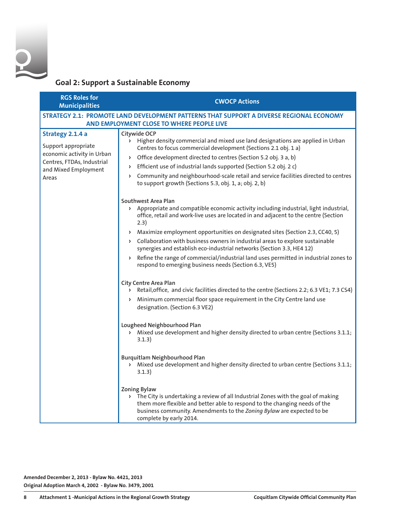

## **Goal 2: Support a Sustainable Economy**

| <b>RGS Roles for</b><br><b>Municipalities</b>                                                                                        | <b>CWOCP Actions</b>                                                                                                                                                                                                                                                                                                                                                                                                                                                                                                                                                                                               |
|--------------------------------------------------------------------------------------------------------------------------------------|--------------------------------------------------------------------------------------------------------------------------------------------------------------------------------------------------------------------------------------------------------------------------------------------------------------------------------------------------------------------------------------------------------------------------------------------------------------------------------------------------------------------------------------------------------------------------------------------------------------------|
|                                                                                                                                      | STRATEGY 2.1: PROMOTE LAND DEVELOPMENT PATTERNS THAT SUPPORT A DIVERSE REGIONAL ECONOMY<br>AND EMPLOYMENT CLOSE TO WHERE PEOPLE LIVE                                                                                                                                                                                                                                                                                                                                                                                                                                                                               |
| Strategy 2.1.4 a<br>Support appropriate<br>economic activity in Urban<br>Centres, FTDAs, Industrial<br>and Mixed Employment<br>Areas | Citywide OCP<br>> Higher density commercial and mixed use land designations are applied in Urban<br>Centres to focus commercial development (Sections 2.1 obj. 1 a)<br>> Office development directed to centres (Section 5.2 obj. 3 a, b)<br>> Efficient use of industrial lands supported (Section 5.2 obj. 2 c)<br>> Community and neighbourhood-scale retail and service facilities directed to centres<br>to support growth (Sections 5.3, obj. 1, a; obj. 2, b)                                                                                                                                               |
|                                                                                                                                      | Southwest Area Plan<br>> Appropriate and compatible economic activity including industrial, light industrial,<br>office, retail and work-live uses are located in and adjacent to the centre (Section<br>2.3)<br>> Maximize employment opportunities on designated sites (Section 2.3, CC40, 5)<br>> Collaboration with business owners in industrial areas to explore sustainable<br>synergies and establish eco-industrial networks (Section 3.3, HE4 12)<br>Refine the range of commercial/industrial land uses permitted in industrial zones to<br>Þ.<br>respond to emerging business needs (Section 6.3, VE5) |
|                                                                                                                                      | City Centre Area Plan<br>> Retail, office, and civic facilities directed to the centre (Sections 2.2; 6.3 VE1; 7.3 CS4)<br>> Minimum commercial floor space requirement in the City Centre land use<br>designation. (Section 6.3 VE2)<br>Lougheed Neighbourhood Plan<br>> Mixed use development and higher density directed to urban centre (Sections 3.1.1;<br>3.1.3)<br>Burquitlam Neighbourhood Plan<br>> Mixed use development and higher density directed to urban centre (Sections 3.1.1;                                                                                                                    |
|                                                                                                                                      | 3.1.3)<br><b>Zoning Bylaw</b><br>> The City is undertaking a review of all Industrial Zones with the goal of making<br>them more flexible and better able to respond to the changing needs of the<br>business community. Amendments to the Zoning Bylaw are expected to be<br>complete by early 2014.                                                                                                                                                                                                                                                                                                              |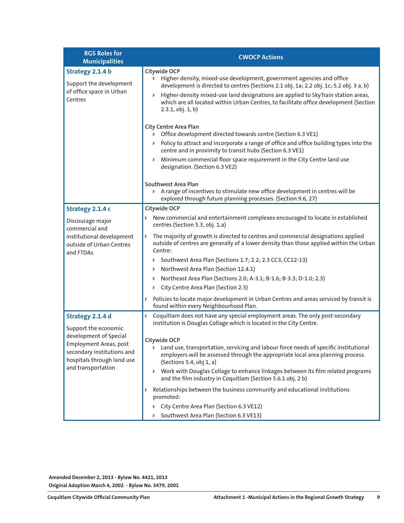| <b>RGS Roles for</b><br><b>Municipalities</b>                                                                                                                                  | <b>CWOCP Actions</b>                                                                                                                                                                                                                                                                                                                                                                                                                                                                                                                                                                                                                                                                                                                            |
|--------------------------------------------------------------------------------------------------------------------------------------------------------------------------------|-------------------------------------------------------------------------------------------------------------------------------------------------------------------------------------------------------------------------------------------------------------------------------------------------------------------------------------------------------------------------------------------------------------------------------------------------------------------------------------------------------------------------------------------------------------------------------------------------------------------------------------------------------------------------------------------------------------------------------------------------|
| Strategy 2.1.4 b<br>Support the development<br>of office space in Urban<br>Centres                                                                                             | Citywide OCP<br>> Higher-density, mixed-use development, government agencies and office<br>development is directed to centres (Sections 2.1 obj. 1a; 2.2 obj. 1c; 5.2 obj. 3 a, b)<br>Higher-density mixed-use land designations are applied to SkyTrain station areas,<br>Þ.<br>which are all located within Urban Centres, to facilitate office development (Section<br>$2.3.1$ , obj. $1, b$ )                                                                                                                                                                                                                                                                                                                                               |
|                                                                                                                                                                                | <b>City Centre Area Plan</b><br>> Office development directed towards centre (Section 6.3 VE1)<br>> Policy to attract and incorporate a range of office and office building types into the<br>centre and in proximity to transit hubs (Section 6.3 VE1)<br>> Minimum commercial floor space requirement in the City Centre land use<br>designation. (Section 6.3 VE2)<br>Southwest Area Plan                                                                                                                                                                                                                                                                                                                                                    |
|                                                                                                                                                                                | > A range of incentives to stimulate new office development in centres will be<br>explored through future planning processes. (Section 9.6, 27)                                                                                                                                                                                                                                                                                                                                                                                                                                                                                                                                                                                                 |
| Strategy 2.1.4 c<br>Discourage major<br>commercial and<br>institutional development<br>outside of Urban Centres<br>and FTDAs                                                   | Citywide OCP<br>> New commercial and entertainment complexes encouraged to locate in established<br>centres (Section 5.3, obj. 1.a)<br>The majority of growth is directed to centres and commercial designations applied<br>Þ<br>outside of centres are generally of a lower density than those applied within the Urban<br>Centre:<br>Southwest Area Plan (Sections 1.7; 2.2; 2.3 CC3, CC12-13)<br>Þ.<br>Northwest Area Plan (Section 12.4.1)<br>Þ.<br>Northeast Area Plan (Sections 2.0; A-3.1; B-1.6; B-3.3; D-1.0; 2.3)<br>d<br>City Centre Area Plan (Section 2.3)<br>Policies to locate major development in Urban Centres and areas serviced by transit is<br>Þ<br>found within every Neighbourhood Plan.                                |
| Strategy 2.1.4 d<br>Support the economic<br>development of Special<br>Employment Areas, post<br>secondary institutions and<br>hospitals through land use<br>and transportation | Coquitlam does not have any special employment areas. The only post-secondary<br>Þ<br>institution is Douglas Collage which is located in the City Centre.<br>Citywide OCP<br>Land use, transportation, servicing and labour force needs of specific institutional<br>Þ.<br>employers will be assessed through the appropriate local area planning process.<br>(Sections 5.4, obj 1, a)<br>Work with Douglas Collage to enhance linkages between its film related programs<br>Þ.<br>and the film industry in Coquitlam (Section 5.6.1 obj. 2 b)<br>Relationships between the business community and educational institutions<br>Þ<br>promoted:<br>City Centre Area Plan (Section 6.3 VE12)<br>Þ.<br>Southwest Area Plan (Section 6.3 VE13)<br>Þ. |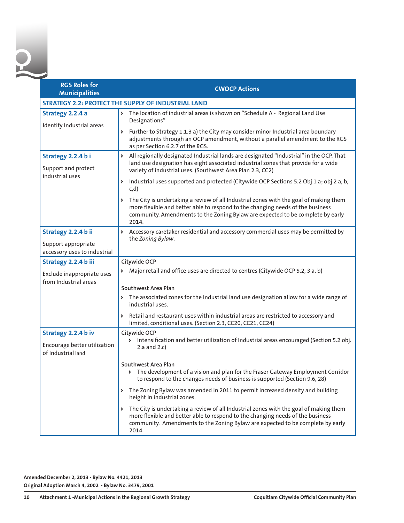| <b>RGS Roles for</b><br><b>Municipalities</b>                              | <b>CWOCP Actions</b>                                                                                                                                                                                                                                                    |
|----------------------------------------------------------------------------|-------------------------------------------------------------------------------------------------------------------------------------------------------------------------------------------------------------------------------------------------------------------------|
|                                                                            | <b>STRATEGY 2.2: PROTECT THE SUPPLY OF INDUSTRIAL LAND</b>                                                                                                                                                                                                              |
| Strategy 2.2.4 a<br>Identify Industrial areas                              | The location of industrial areas is shown on "Schedule A - Regional Land Use<br>$\triangleright$<br>Designations"                                                                                                                                                       |
|                                                                            | Further to Strategy 1.1.3 a) the City may consider minor Industrial area boundary<br>Þ.<br>adjustments through an OCP amendment, without a parallel amendment to the RGS<br>as per Section 6.2.7 of the RGS.                                                            |
| Strategy 2.2.4 bi<br>Support and protect<br>industrial uses                | All regionally designated Industrial lands are designated "Industrial" in the OCP. That<br>Þ.<br>land use designation has eight associated industrial zones that provide for a wide<br>variety of industrial uses. (Southwest Area Plan 2.3, CC2)                       |
|                                                                            | Industrial uses supported and protected (Citywide OCP Sections 5.2 Obj 1 a; obj 2 a, b,<br>Þ<br>c,d)                                                                                                                                                                    |
|                                                                            | > The City is undertaking a review of all Industrial zones with the goal of making them<br>more flexible and better able to respond to the changing needs of the business<br>community. Amendments to the Zoning Bylaw are expected to be complete by early<br>2014.    |
| Strategy 2.2.4 b ii<br>Support appropriate<br>accessory uses to industrial | $\triangleright$<br>Accessory caretaker residential and accessory commercial uses may be permitted by<br>the Zoning Bylaw.                                                                                                                                              |
| Strategy 2.2.4 b iii                                                       | Citywide OCP                                                                                                                                                                                                                                                            |
| Exclude inappropriate uses<br>from Industrial areas                        | Major retail and office uses are directed to centres (Citywide OCP 5.2, 3 a, b)<br>Southwest Area Plan                                                                                                                                                                  |
|                                                                            | The associated zones for the Industrial land use designation allow for a wide range of<br>industrial uses.                                                                                                                                                              |
|                                                                            | Þ<br>Retail and restaurant uses within industrial areas are restricted to accessory and<br>limited, conditional uses. (Section 2.3, CC20, CC21, CC24)                                                                                                                   |
| Strategy 2.2.4 b iv                                                        | Citywide OCP                                                                                                                                                                                                                                                            |
| Encourage better utilization<br>of Industrial land                         | > Intensification and better utilization of Industrial areas encouraged (Section 5.2 obj.<br>2.a and $2.c$ )                                                                                                                                                            |
|                                                                            | Southwest Area Plan<br>> The development of a vision and plan for the Fraser Gateway Employment Corridor<br>to respond to the changes needs of business is supported (Section 9.6, 28)                                                                                  |
|                                                                            | The Zoning Bylaw was amended in 2011 to permit increased density and building<br>Þ.<br>height in industrial zones.                                                                                                                                                      |
|                                                                            | The City is undertaking a review of all Industrial zones with the goal of making them<br>Þ<br>more flexible and better able to respond to the changing needs of the business<br>community. Amendments to the Zoning Bylaw are expected to be complete by early<br>2014. |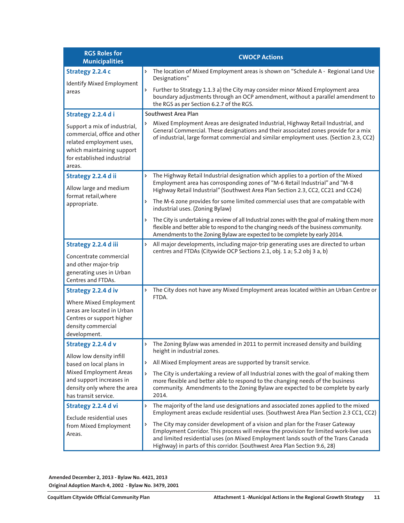| <b>RGS Roles for</b><br><b>Municipalities</b>                                                                                                                 | <b>CWOCP Actions</b>                                                                                                                                                                                                                                                                                                                           |
|---------------------------------------------------------------------------------------------------------------------------------------------------------------|------------------------------------------------------------------------------------------------------------------------------------------------------------------------------------------------------------------------------------------------------------------------------------------------------------------------------------------------|
| Strategy 2.2.4 c<br>Identify Mixed Employment                                                                                                                 | The location of Mixed Employment areas is shown on "Schedule A - Regional Land Use<br>Þ<br>Designations"                                                                                                                                                                                                                                       |
| areas                                                                                                                                                         | Further to Strategy 1.1.3 a) the City may consider minor Mixed Employment area<br>Þ<br>boundary adjustments through an OCP amendment, without a parallel amendment to<br>the RGS as per Section 6.2.7 of the RGS.                                                                                                                              |
| Strategy 2.2.4 di                                                                                                                                             | Southwest Area Plan                                                                                                                                                                                                                                                                                                                            |
| Support a mix of industrial,<br>commercial, office and other<br>related employment uses,<br>which maintaining support<br>for established industrial<br>areas. | Mixed Employment Areas are designated Industrial, Highway Retail Industrial, and<br>General Commercial. These designations and their associated zones provide for a mix<br>of industrial, large format commercial and similar employment uses. (Section 2.3, CC2)                                                                              |
| Strategy 2.2.4 d ii                                                                                                                                           | The Highway Retail Industrial designation which applies to a portion of the Mixed<br>Þ                                                                                                                                                                                                                                                         |
| Allow large and medium                                                                                                                                        | Employment area has corrosponding zones of "M-6 Retail Industrial" and "M-8<br>Highway Retail Industrial" (Southwest Area Plan Section 2.3, CC2, CC21 and CC24)                                                                                                                                                                                |
| format retail, where<br>appropriate.                                                                                                                          | The M-6 zone provides for some limited commercial uses that are compatable with<br>Þ<br>industrial uses. (Zoning Bylaw)                                                                                                                                                                                                                        |
|                                                                                                                                                               | The City is undertaking a review of all Industrial zones with the goal of making them more<br>Þ<br>flexible and better able to respond to the changing needs of the business community.<br>Amendments to the Zoning Bylaw are expected to be complete by early 2014.                                                                           |
| Strategy 2.2.4 d iii<br>Concentrate commercial<br>and other major-trip<br>generating uses in Urban                                                            | All major developments, including major-trip generating uses are directed to urban<br>Þ<br>centres and FTDAs (Citywide OCP Sections 2.1, obj. 1 a; 5.2 obj 3 a, b)                                                                                                                                                                             |
| Centres and FTDAs.                                                                                                                                            |                                                                                                                                                                                                                                                                                                                                                |
| Strategy 2.2.4 d iv<br>Where Mixed Employment<br>areas are located in Urban<br>Centres or support higher<br>density commercial<br>development.                | The City does not have any Mixed Employment areas located within an Urban Centre or<br>Þ<br>FTDA.                                                                                                                                                                                                                                              |
| Strategy 2.2.4 d v                                                                                                                                            | The Zoning Bylaw was amended in 2011 to permit increased density and building<br>Þ                                                                                                                                                                                                                                                             |
| Allow low density infill<br>based on local plans in<br>Mixed Employment Areas                                                                                 | height in industrial zones.<br>All Mixed Employment areas are supported by transit service.<br>Þ                                                                                                                                                                                                                                               |
| and support increases in<br>density only where the area<br>has transit service.                                                                               | The City is undertaking a review of all Industrial zones with the goal of making them<br>Þ<br>more flexible and better able to respond to the changing needs of the business<br>community. Amendments to the Zoning Bylaw are expected to be complete by early<br>2014.                                                                        |
| Strategy 2.2.4 d vi<br>Exclude residential uses                                                                                                               | The majority of the land use designations and associated zones applied to the mixed<br>Þ<br>Employment areas exclude residential uses. (Southwest Area Plan Section 2.3 CC1, CC2)                                                                                                                                                              |
| from Mixed Employment<br>Areas.                                                                                                                               | The City may consider development of a vision and plan for the Fraser Gateway<br>Þ<br>Employment Corridor. This process will review the provision for limited work-live uses<br>and limited residential uses (on Mixed Employment lands south of the Trans Canada<br>Highway) in parts of this corridor. (Southwest Area Plan Section 9.6, 28) |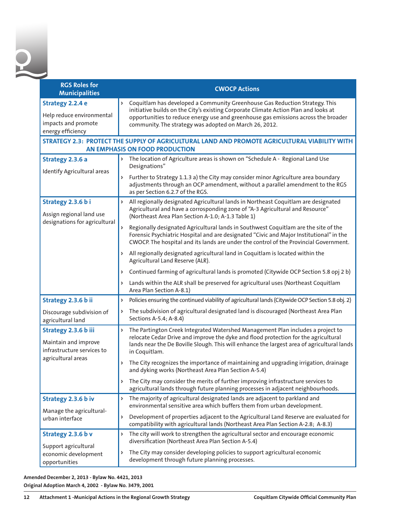| <b>RGS Roles for</b><br><b>Municipalities</b>                                                    | <b>CWOCP Actions</b>                                                                                                                                                                                                                                                                                                    |
|--------------------------------------------------------------------------------------------------|-------------------------------------------------------------------------------------------------------------------------------------------------------------------------------------------------------------------------------------------------------------------------------------------------------------------------|
| Strategy 2.2.4 e<br>Help reduce environmental<br>impacts and promote<br>energy efficiency        | Coquitlam has developed a Community Greenhouse Gas Reduction Strategy. This<br>Þ<br>initiative builds on the City's existing Corporate Climate Action Plan and looks at<br>opportunities to reduce energy use and greenhouse gas emissions across the broader<br>community. The strategy was adopted on March 26, 2012. |
|                                                                                                  | STRATEGY 2.3: PROTECT THE SUPPLY OF AGRICULTURAL LAND AND PROMOTE AGRICULTURAL VIABILITY WITH<br>AN EMPHASIS ON FOOD PRODUCTION                                                                                                                                                                                         |
| Strategy 2.3.6 a                                                                                 | The location of Agriculture areas is shown on "Schedule A - Regional Land Use<br>d<br>Designations"                                                                                                                                                                                                                     |
| Identify Agricultural areas                                                                      | Further to Strategy 1.1.3 a) the City may consider minor Agriculture area boundary<br>Þ<br>adjustments through an OCP amendment, without a parallel amendment to the RGS<br>as per Section 6.2.7 of the RGS.                                                                                                            |
| Strategy 2.3.6 bi<br>Assign regional land use<br>designations for agricultural                   | All regionally designated Agricultural lands in Northeast Coquitlam are designated<br>Þ<br>Agricultural and have a corrosponding zone of "A-3 Agricultural and Resource"<br>(Northeast Area Plan Section A-1.0; A-1.3 Table 1)                                                                                          |
|                                                                                                  | Regionally designated Agricultural lands in Southwest Coquitlam are the site of the<br>Forensic Psychiatric Hospital and are designated "Civic and Major Institutional" in the<br>CWOCP. The hospital and its lands are under the control of the Provincial Government.                                                 |
|                                                                                                  | > All regionally designated agricultural land in Coquitlam is located within the<br>Agricultural Land Reserve (ALR).                                                                                                                                                                                                    |
|                                                                                                  | Continued farming of agricultural lands is promoted (Citywide OCP Section 5.8 opj 2 b)<br>Þ                                                                                                                                                                                                                             |
|                                                                                                  | Lands within the ALR shall be preserved for agricultural uses (Northeast Coquitlam<br>d<br>Area Plan Section A-8.1)                                                                                                                                                                                                     |
| Strategy 2.3.6 b ii                                                                              | Policies ensuring the continued viability of agricultural lands (Citywide OCP Section 5.8 obj. 2)<br>Þ                                                                                                                                                                                                                  |
| Discourage subdivision of<br>agricultural land                                                   | The subdivision of agricultural designated land is discouraged (Northeast Area Plan<br>Sections A-5.4; A-8.4)                                                                                                                                                                                                           |
| Strategy 2.3.6 b iii<br>Maintain and improve<br>infrastructure services to<br>agricultural areas | The Partington Creek Integrated Watershed Management Plan includes a project to<br>Þ<br>relocate Cedar Drive and improve the dyke and flood protection for the agricultural<br>lands near the De Boville Slough. This will enhance the largest area of agricultural lands<br>in Coquitlam.                              |
|                                                                                                  | The City recognizes the importance of maintaining and upgrading irrigation, drainage<br>Þ<br>and dyking works (Northeast Area Plan Section A-5.4)                                                                                                                                                                       |
|                                                                                                  | > The City may consider the merits of further improving infrastructure services to<br>agricultural lands through future planning processes in adjacent neighbourhoods.                                                                                                                                                  |
| Strategy 2.3.6 b iv                                                                              | The majority of agricultural designated lands are adjacent to parkland and<br>Þ<br>environmental sensitive area which buffers them from urban development.                                                                                                                                                              |
| Manage the agricultural-<br>urban interface                                                      | Development of properties adjacent to the Agricultural Land Reserve are evaluated for<br>$\triangleright$<br>compatibility with agricultural lands (Northeast Area Plan Section A-2.8; A-8.3)                                                                                                                           |
| Strategy 2.3.6 b v                                                                               | Þ<br>The city will work to strengthen the agricultural sector and encourage economic<br>diversification (Northeast Area Plan Section A-5.4)                                                                                                                                                                             |
| Support agricultural<br>economic development<br>opportunities                                    | The City may consider developing policies to support agricultural economic<br>d<br>development through future planning processes.                                                                                                                                                                                       |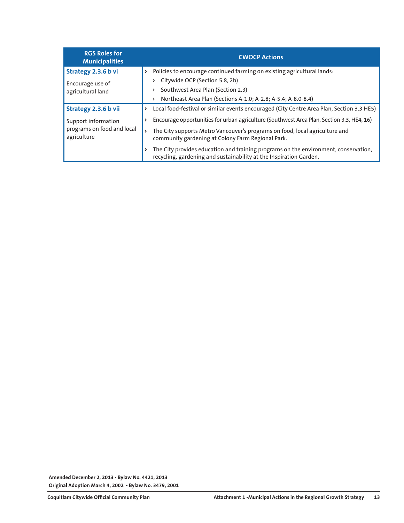| <b>RGS Roles for</b><br><b>Municipalities</b>                    | <b>CWOCP Actions</b>                                                                                                                                      |
|------------------------------------------------------------------|-----------------------------------------------------------------------------------------------------------------------------------------------------------|
| Strategy 2.3.6 b vi                                              | Policies to encourage continued farming on existing agricultural lands:<br>Þ                                                                              |
| Encourage use of                                                 | Citywide OCP (Section 5.8, 2b)<br>$\triangleright$                                                                                                        |
| agricultural land                                                | Southwest Area Plan (Section 2.3)<br>$\triangleright$                                                                                                     |
|                                                                  | Northeast Area Plan (Sections A-1.0; A-2.8; A-5.4; A-8.0-8.4)<br>Þ.                                                                                       |
| Strategy 2.3.6 b vii                                             | Local food-festival or similar events encouraged (City Centre Area Plan, Section 3.3 HE5)<br>Þ                                                            |
| Support information<br>programs on food and local<br>agriculture | Encourage opportunities for urban agriculture (Southwest Area Plan, Section 3.3, HE4, 16)                                                                 |
|                                                                  | The City supports Metro Vancouver's programs on food, local agriculture and<br>Þ<br>community gardening at Colony Farm Regional Park.                     |
|                                                                  | The City provides education and training programs on the environment, conservation,<br>recycling, gardening and sustainability at the Inspiration Garden. |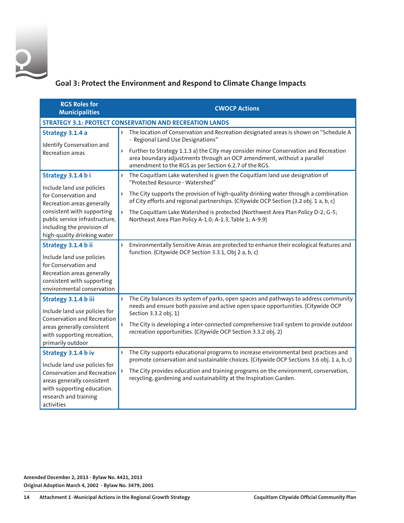

### **Goal 3: Protect the Environment and Respond to Climate Change Impacts**

| <b>RGS Roles for</b><br><b>Municipalities</b>                                                                                                                                 | <b>CWOCP Actions</b>                                                                                                                                                                                                      |
|-------------------------------------------------------------------------------------------------------------------------------------------------------------------------------|---------------------------------------------------------------------------------------------------------------------------------------------------------------------------------------------------------------------------|
|                                                                                                                                                                               | <b>STRATEGY 3.1: PROTECT CONSERVATION AND RECREATION LANDS</b>                                                                                                                                                            |
| Strategy 3.1.4 a                                                                                                                                                              | The location of Conservation and Recreation designated areas is shown on "Schedule A<br>- Regional Land Use Designations"                                                                                                 |
| Identify Conservation and<br><b>Recreation areas</b>                                                                                                                          | > Further to Strategy 1.1.3 a) the City may consider minor Conservation and Recreation<br>area boundary adjustments through an OCP amendment, without a parallel<br>amendment to the RGS as per Section 6.2.7 of the RGS. |
| Strategy 3.1.4 bi                                                                                                                                                             | The Coquitlam Lake watershed is given the Coquitlam land use designation of<br>Þ<br>"Protected Resource - Watershed"                                                                                                      |
| Include land use policies<br>for Conservation and<br>Recreation areas generally                                                                                               | The City supports the provision of high-quality drinking water through a combination<br>d<br>of City efforts and regional partnerships. (Citywide OCP Section (3.2 obj. 1 a, b, c)                                        |
| consistent with supporting<br>public service infrastructure,<br>including the provision of                                                                                    | The Coquitlam Lake Watershed is protected (Northwest Area Plan Policy D-2; G-5;<br>Northeast Area Plan Policy A-1.0; A-1.3, Table 1; A-9.9)                                                                               |
| high-quality drinking water                                                                                                                                                   |                                                                                                                                                                                                                           |
| Strategy 3.1.4 b ii<br>Include land use policies<br>for Conservation and<br>Recreation areas generally<br>consistent with supporting<br>environmental conservation            | Environmentally Sensitive Areas are protected to enhance their ecological features and<br>Þ<br>function. (Citywide OCP Section 3.3.1, Obj 2 a, b, c)                                                                      |
| Strategy 3.1.4 b iii<br>Include land use policies for<br><b>Conservation and Recreation</b><br>areas generally consistent<br>with supporting recreation,<br>primarily outdoor | The City balances its system of parks, open spaces and pathways to address community<br>Þ<br>needs and ensure both passive and active open space opportunities. (Citywide OCP<br>Section 3.3.2 obj. 1)                    |
|                                                                                                                                                                               | The City is developing a inter-connected comprehensive trail system to provide outdoor<br>Þ<br>recreation opportunities. (Citywide OCP Section 3.3.2 obj. 2)                                                              |
| Strategy 3.1.4 b iv                                                                                                                                                           | The City supports educational programs to increase environmental best practices and<br>Þ<br>promote conservation and sustainable choices. (Citywide OCP Sections 3.6 obj. 1 a, b, c)                                      |
| Include land use policies for<br><b>Conservation and Recreation</b><br>areas generally consistent<br>with supporting education.<br>research and training<br>activities        | The City provides education and training programs on the environment, conservation,<br>recycling, gardening and sustainability at the Inspiration Garden.                                                                 |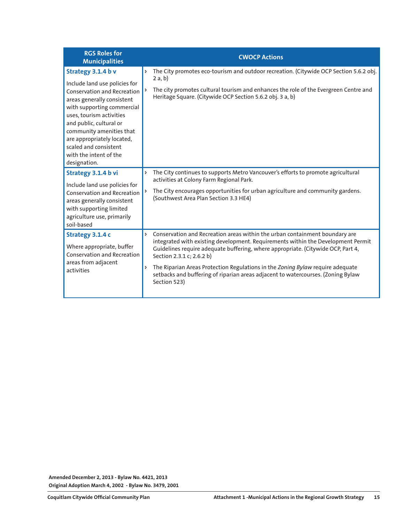| <b>RGS Roles for</b><br><b>Municipalities</b>                                                                                                                                                                                                                                                                                             | <b>CWOCP Actions</b>                                                                                                                                                                                                                                                                                                                                                                                                                                                             |
|-------------------------------------------------------------------------------------------------------------------------------------------------------------------------------------------------------------------------------------------------------------------------------------------------------------------------------------------|----------------------------------------------------------------------------------------------------------------------------------------------------------------------------------------------------------------------------------------------------------------------------------------------------------------------------------------------------------------------------------------------------------------------------------------------------------------------------------|
| Strategy 3.1.4 b v<br>Include land use policies for<br><b>Conservation and Recreation</b><br>areas generally consistent<br>with supporting commercial<br>uses, tourism activities<br>and public, cultural or<br>community amenities that<br>are appropriately located,<br>scaled and consistent<br>with the intent of the<br>designation. | The City promotes eco-tourism and outdoor recreation. (Citywide OCP Section 5.6.2 obj.<br>Þ<br>2a, b)<br>The city promotes cultural tourism and enhances the role of the Evergreen Centre and<br>Heritage Square. (Citywide OCP Section 5.6.2 obj. 3 a, b)                                                                                                                                                                                                                       |
| Strategy 3.1.4 b vi<br>Include land use policies for<br><b>Conservation and Recreation</b><br>areas generally consistent<br>with supporting limited<br>agriculture use, primarily<br>soil-based                                                                                                                                           | The City continues to supports Metro Vancouver's efforts to promote agricultural<br>Þ<br>activities at Colony Farm Regional Park.<br>The City encourages opportunities for urban agriculture and community gardens.<br>(Southwest Area Plan Section 3.3 HE4)                                                                                                                                                                                                                     |
| Strategy 3.1.4 c<br>Where appropriate, buffer<br><b>Conservation and Recreation</b><br>areas from adjacent<br>activities                                                                                                                                                                                                                  | Conservation and Recreation areas within the urban containment boundary are<br>Þ<br>integrated with existing development. Requirements within the Development Permit<br>Guidelines require adequate buffering, where appropriate. (Citywide OCP, Part 4,<br>Section 2.3.1 c; 2.6.2 b)<br>The Riparian Areas Protection Regulations in the Zoning Bylaw require adequate<br>Þ<br>setbacks and buffering of riparian areas adjacent to watercourses. (Zoning Bylaw<br>Section 523) |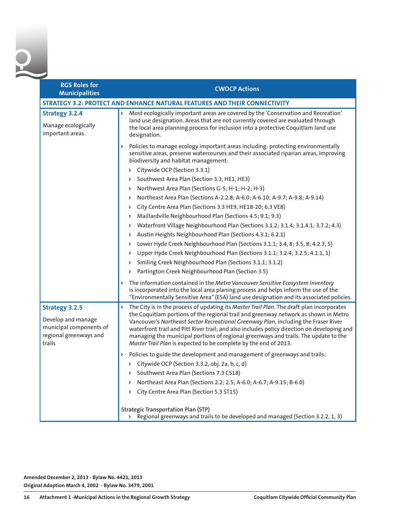| <b>RGS Roles for</b><br><b>Municipalities</b>                                                              | <b>CWOCP Actions</b>                                                                                                                                                                                                                                                                                                                                                                                                                                                                                                                   |
|------------------------------------------------------------------------------------------------------------|----------------------------------------------------------------------------------------------------------------------------------------------------------------------------------------------------------------------------------------------------------------------------------------------------------------------------------------------------------------------------------------------------------------------------------------------------------------------------------------------------------------------------------------|
|                                                                                                            | STRATEGY 3.2: PROTECT AND ENHANCE NATURAL FEATURES AND THEIR CONNECTIVITY                                                                                                                                                                                                                                                                                                                                                                                                                                                              |
| <b>Strategy 3.2.4</b><br>Manage ecologically<br>important areas                                            | Most ecologically important areas are covered by the 'Conservation and Recreation'<br>land use designation. Areas that are not currently covered are evaluated through<br>the local area planning process for inclusion into a protective Coquitlam land use<br>designation.                                                                                                                                                                                                                                                           |
|                                                                                                            | > Policies to manage ecology important areas including: protecting environmentally<br>sensitive areas, preserve watercourses and their associated riparian areas, improving<br>biodiversity and habitat management:                                                                                                                                                                                                                                                                                                                    |
|                                                                                                            | > Citywide OCP (Section 3.3.1)                                                                                                                                                                                                                                                                                                                                                                                                                                                                                                         |
|                                                                                                            | Southwest Area Plan (Section 3.3, HE1, HE3)<br>$\triangleright$                                                                                                                                                                                                                                                                                                                                                                                                                                                                        |
|                                                                                                            | Northwest Area Plan (Sections G-5; H-1; H-2; H-3)<br>Þ                                                                                                                                                                                                                                                                                                                                                                                                                                                                                 |
|                                                                                                            | Northeast Area Plan (Sections A-2.2.8; A-6.0; A-6.10; A-9.7; A-9.8; A-9.14)<br>Þ                                                                                                                                                                                                                                                                                                                                                                                                                                                       |
|                                                                                                            | City Centre Area Plan (Sections 3.3 HE9, HE18-20; 6.3 VE8)<br>Þ                                                                                                                                                                                                                                                                                                                                                                                                                                                                        |
|                                                                                                            | Maillardville Neighbourhood Plan (Sections 4.5; 9.1; 9.3)<br>Þ.                                                                                                                                                                                                                                                                                                                                                                                                                                                                        |
|                                                                                                            | Waterfront Village Neighbourhood Plan (Sections 3.1.2; 3.1.4; 3.1.4.1; 3.7.2; 4.3)<br>Þ                                                                                                                                                                                                                                                                                                                                                                                                                                                |
|                                                                                                            | Austin Heights Neighbourhood Plan (Sections 4.3.1; 6.2.1)<br>Þ                                                                                                                                                                                                                                                                                                                                                                                                                                                                         |
|                                                                                                            | Lower Hyde Creek Neighbourhood Plan (Sections 3.1.1; 3.4, 8; 3.5, 8; 4.2.3, 5)<br>Þ                                                                                                                                                                                                                                                                                                                                                                                                                                                    |
|                                                                                                            | Upper Hyde Creek Neighbourhood Plan (Sections 3.1.1; 3.2.4; 3.2.5; 4.1.1, 1)<br>Þ                                                                                                                                                                                                                                                                                                                                                                                                                                                      |
|                                                                                                            | Smiling Creek Neighbourhood Plan (Sections 3.1.1; 3.1.2)<br>Þ                                                                                                                                                                                                                                                                                                                                                                                                                                                                          |
|                                                                                                            | Partington Creek Neighbourhood Plan (Section 3.5)<br>Þ.                                                                                                                                                                                                                                                                                                                                                                                                                                                                                |
|                                                                                                            | > The information contained in the Metro Vancouver Sensitive Ecosystem Inventory<br>is incorporated into the local area planing process and helps inform the use of the<br>"Environmentally Sensitive Area" (ESA) land use designation and its associated policies.                                                                                                                                                                                                                                                                    |
| <b>Strategy 3.2.5</b><br>Develop and manage<br>municipal components of<br>regional greenways and<br>trails | The City is in the process of updating its Master Trail Plan, The draft plan incorporates<br>Þ<br>the Coquitlam portions of the regional trail and greenway network as shown in Metro<br>Vancouver's Northeast Sector Recreational Greenway Plan, including the Fraser River<br>waterfront trail and Pitt River trail; and also includes policy direction on developing and<br>managing the municipal portions of regional greenways and trails. The update to the<br>Master Trail Plan is expected to be complete by the end of 2013. |
|                                                                                                            | > Policies to guide the development and management of greenways and trails:                                                                                                                                                                                                                                                                                                                                                                                                                                                            |
|                                                                                                            | > Citywide OCP (Section 3.3.2, obj. 2a, b, c, d)                                                                                                                                                                                                                                                                                                                                                                                                                                                                                       |
|                                                                                                            | > Southwest Area Plan (Sections 7.3 CS18)                                                                                                                                                                                                                                                                                                                                                                                                                                                                                              |
|                                                                                                            | Northeast Area Plan (Sections 2.2; 2.5; A-6.0; A-6.7; A-9.15; B-6.0)<br>Þ                                                                                                                                                                                                                                                                                                                                                                                                                                                              |
|                                                                                                            | City Centre Area Plan (Section 5.3 ST15)<br>Þ                                                                                                                                                                                                                                                                                                                                                                                                                                                                                          |
|                                                                                                            | <b>Strategic Transportation Plan (STP)</b><br>Regional greenways and trails to be developed and managed (Section 3.2.2, 1, 3)<br>$\triangleright$                                                                                                                                                                                                                                                                                                                                                                                      |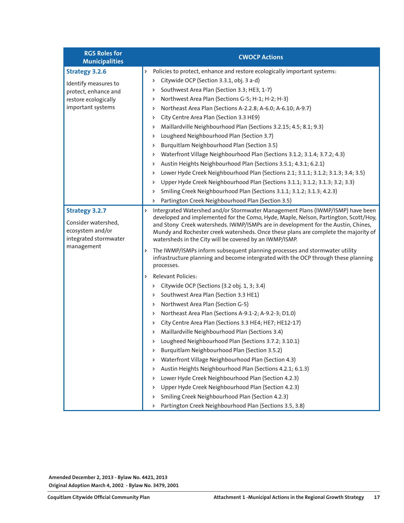| <b>RGS Roles for</b><br><b>Municipalities</b>                                                                      | <b>CWOCP Actions</b>                                                                                                                                                                                                                                                                                                                                                                                                                                                                                                                                                                                                                                                                                                                                                                                                                                                                        |
|--------------------------------------------------------------------------------------------------------------------|---------------------------------------------------------------------------------------------------------------------------------------------------------------------------------------------------------------------------------------------------------------------------------------------------------------------------------------------------------------------------------------------------------------------------------------------------------------------------------------------------------------------------------------------------------------------------------------------------------------------------------------------------------------------------------------------------------------------------------------------------------------------------------------------------------------------------------------------------------------------------------------------|
| <b>Strategy 3.2.6</b><br>Identify measures to<br>protect, enhance and<br>restore ecologically<br>important systems | Policies to protect, enhance and restore ecologically important systems:<br>Þ<br>Citywide OCP (Section 3.3.1, obj. 3 a-d)<br>d<br>Southwest Area Plan (Section 3.3; HE3, 1-7)<br>Þ<br>Northwest Area Plan (Sections G-5; H-1; H-2; H-3)<br>Þ<br>Northeast Area Plan (Sections A-2.2.8; A-6.0; A-6.10; A-9.7)<br>Þ<br>City Centre Area Plan (Section 3.3 HE9)<br>Þ<br>Maillardville Neighbourhood Plan (Sections 3.2.15; 4.5; 8.1; 9.3)<br>Þ<br>Lougheed Neighbourhood Plan (Section 3.7)<br>Þ<br>Burquitlam Neighbourhood Plan (Section 3.5)<br>Þ<br>Waterfront Village Neighbourhood Plan (Sections 3.1.2; 3.1.4; 3.7.2; 4.3)<br>Þ<br>Austin Heights Neighbourhood Plan (Sections 3.5.1; 4.3.1; 6.2.1)<br>Þ<br>Lower Hyde Creek Neighbourhood Plan (Sections 2.1; 3.1.1; 3.1.2; 3.1.3; 3.4; 3.5)<br>Þ<br>Upper Hyde Creek Neighbourhood Plan (Sections 3.1.1; 3.1.2; 3.1.3; 3.2; 3.3)<br>Þ |
|                                                                                                                    | Smiling Creek Neighbourhood Plan (Sections 3.1.1; 3.1.2; 3.1.3; 4.2.3)<br>Þ<br>Partington Creek Neighbourhood Plan (Section 3.5)<br>Þ.                                                                                                                                                                                                                                                                                                                                                                                                                                                                                                                                                                                                                                                                                                                                                      |
| <b>Strategy 3.2.7</b><br>Consider watershed,<br>ecosystem and/or<br>integrated stormwater<br>management            | Intergrated Watershed and/or Stormwater Management Plans (IWMP/ISMP) have been<br>Þ<br>developed and implemented for the Como, Hyde, Maple, Nelson, Partington, Scott/Hoy,<br>and Stony Creek watersheds. IWMP/ISMPs are in development for the Austin, Chines,<br>Mundy and Rochester creek watersheds. Once these plans are complete the majority of<br>watersheds in the City will be covered by an IWMP/ISMP.                                                                                                                                                                                                                                                                                                                                                                                                                                                                           |
|                                                                                                                    | The IWMP/ISMPs inform subsequent planning processes and stormwater utility<br>Þ<br>infrastructure planning and become intergrated with the OCP through these planning<br>processes.                                                                                                                                                                                                                                                                                                                                                                                                                                                                                                                                                                                                                                                                                                         |
|                                                                                                                    | <b>Relevant Policies:</b><br>$\triangleright$<br>Citywide OCP (Sections (3.2 obj. 1, 3; 3.4)<br>Þ.<br>Southwest Area Plan (Section 3.3 HE1)<br>d<br>Northwest Area Plan (Section G-5)<br>d<br>Northeast Area Plan (Sections A-9.1-2; A-9.2-3; D1.0)<br>Þ<br>City Centre Area Plan (Sections 3.3 HE4; HE7; HE12-17)<br>Þ<br>Maillardville Neighbourhood Plan (Sections 3.4)<br>Þ<br>Lougheed Neighbourhood Plan (Sections 3.7.2; 3.10.1)<br>Þ<br>Burquitlam Neighbourhood Plan (Section 3.5.2)<br>Þ<br>Waterfront Village Neighbourhood Plan (Section 4.3)<br>Þ<br>Austin Heights Neighbourhood Plan (Sections 4.2.1; 6.1.3)<br>Þ<br>Lower Hyde Creek Neighbourhood Plan (Section 4.2.3)<br>Upper Hyde Creek Neighbourhood Plan (Section 4.2.3)<br>Þ<br>Smiling Creek Neighbourhood Plan (Section 4.2.3)<br>Partington Creek Neighbourhood Plan (Sections 3.5, 3.8)                          |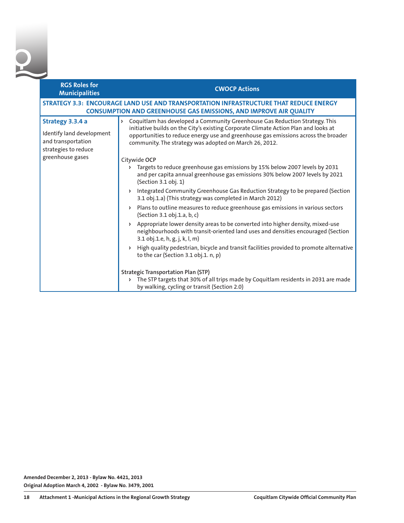| <b>RGS Roles for</b><br><b>Municipalities</b>                                               | <b>CWOCP Actions</b>                                                                                                                                                                                                                                                                                                                   |
|---------------------------------------------------------------------------------------------|----------------------------------------------------------------------------------------------------------------------------------------------------------------------------------------------------------------------------------------------------------------------------------------------------------------------------------------|
|                                                                                             | STRATEGY 3.3: ENCOURAGE LAND USE AND TRANSPORTATION INFRASTRUCTURE THAT REDUCE ENERGY<br><b>CONSUMPTION AND GREENHOUSE GAS EMISSIONS, AND IMPROVE AIR QUALITY</b>                                                                                                                                                                      |
| Strategy 3.3.4 a<br>Identify land development<br>and transportation<br>strategies to reduce | Coquitlam has developed a Community Greenhouse Gas Reduction Strategy. This<br>$\triangleright$<br>initiative builds on the City's existing Corporate Climate Action Plan and looks at<br>opportunities to reduce energy use and greenhouse gas emissions across the broader<br>community. The strategy was adopted on March 26, 2012. |
| greenhouse gases                                                                            | Citywide OCP<br>Targets to reduce greenhouse gas emissions by 15% below 2007 levels by 2031<br>and per capita annual greenhouse gas emissions 30% below 2007 levels by 2021<br>(Section 3.1 obj. 1)                                                                                                                                    |
|                                                                                             | Integrated Community Greenhouse Gas Reduction Strategy to be prepared (Section<br>3.1 obj.1.a) (This strategy was completed in March 2012)                                                                                                                                                                                             |
|                                                                                             | Plans to outline measures to reduce greenhouse gas emissions in various sectors<br>(Section 3.1 obj.1.a, b, c)                                                                                                                                                                                                                         |
|                                                                                             | Appropriate lower density areas to be converted into higher density, mixed-use<br>neighbourhoods with transit-oriented land uses and densities encouraged (Section<br>3.1 obj.1.e, h, g, j, k, l, m)                                                                                                                                   |
|                                                                                             | High quality pedestrian, bicycle and transit facilities provided to promote alternative<br>to the car (Section 3.1 obj.1. n, p)                                                                                                                                                                                                        |
|                                                                                             | <b>Strategic Transportation Plan (STP)</b><br>The STP targets that 30% of all trips made by Coquitlam residents in 2031 are made<br>$\triangleright$<br>by walking, cycling or transit (Section 2.0)                                                                                                                                   |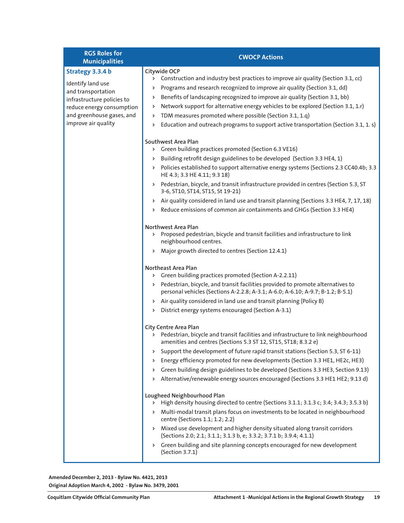| <b>RGS Roles for</b><br><b>Municipalities</b>                                                                                                                              | <b>CWOCP Actions</b>                                                                                                                                                                                                                                                                                                                                                                                                                                                                                                                                                                                                                                                                                                                                                                                                                                                                                                                                                                                                                                                           |
|----------------------------------------------------------------------------------------------------------------------------------------------------------------------------|--------------------------------------------------------------------------------------------------------------------------------------------------------------------------------------------------------------------------------------------------------------------------------------------------------------------------------------------------------------------------------------------------------------------------------------------------------------------------------------------------------------------------------------------------------------------------------------------------------------------------------------------------------------------------------------------------------------------------------------------------------------------------------------------------------------------------------------------------------------------------------------------------------------------------------------------------------------------------------------------------------------------------------------------------------------------------------|
| Strategy 3.3.4 b<br>Identify land use<br>and transportation<br>infrastructure policies to<br>reduce energy consumption<br>and greenhouse gases, and<br>improve air quality | Citywide OCP<br>> Construction and industry best practices to improve air quality (Section 3.1, cc)<br>Programs and research recognized to improve air quality (Section 3.1, dd)<br>Benefits of landscaping recognized to improve air quality (Section 3.1, bb)<br>Þ.<br>Network support for alternative energy vehicles to be explored (Section 3.1, 1.r)<br>Þ.<br>TDM measures promoted where possible (Section 3.1, 1.q)<br>d<br>Education and outreach programs to support active transportation (Section 3.1, 1. s)<br>Þ.                                                                                                                                                                                                                                                                                                                                                                                                                                                                                                                                                 |
|                                                                                                                                                                            | Southwest Area Plan<br>> Green building practices promoted (Section 6.3 VE16)<br>Building retrofit design guidelines to be developed (Section 3.3 HE4, 1)<br>Þ<br>Policies established to support alternative energy systems (Sections 2.3 CC40.4b; 3.3<br>Þ.<br>HE 4.3; 3.3 HE 4.11; 9.3 18)<br>Pedestrian, bicycle, and transit infrastructure provided in centres (Section 5.3, ST<br>Þ.<br>3-6, ST10, ST14, ST15, St 19-21)<br>Air quality considered in land use and transit planning (Sections 3.3 HE4, 7, 17, 18)<br>Þ.<br>Reduce emissions of common air containments and GHGs (Section 3.3 HE4)<br>Þ.                                                                                                                                                                                                                                                                                                                                                                                                                                                                 |
|                                                                                                                                                                            | Northwest Area Plan<br>> Proposed pedestrian, bicycle and transit facilities and infrastructure to link<br>neighbourhood centres.<br>Major growth directed to centres (Section 12.4.1)<br>Þ<br>Northeast Area Plan<br>> Green building practices promoted (Section A-2.2.11)<br>Pedestrian, bicycle, and transit facilities provided to promote alternatives to<br>Þ.<br>personal vehicles (Sections A-2.2.8; A-3.1; A-6.0; A-6.10; A-9.7; B-1.2; B-5.1)<br>Air quality considered in land use and transit planning (Policy B)<br>Þ.<br>District energy systems encouraged (Section A-3.1)<br>Þ.                                                                                                                                                                                                                                                                                                                                                                                                                                                                               |
|                                                                                                                                                                            | City Centre Area Plan<br>Pedestrian, bicycle and transit facilities and infrastructure to link neighbourhood<br>Þ.<br>amenities and centres (Sections 5.3 ST 12, ST15, ST18; 8.3.2 e)<br>Support the development of future rapid transit stations (Section 5.3, ST 6-11)<br>Þ.<br>Energy efficiency promoted for new developments (Section 3.3 HE1, HE2c, HE3)<br>Þ<br>Green building design guidelines to be developed (Sections 3.3 HE3, Section 9.13)<br>Þ<br>Alternative/renewable energy sources encouraged (Sections 3.3 HE1 HE2; 9.13 d)<br>Þ.<br>Lougheed Neighbourhood Plan<br>High density housing directed to centre (Sections 3.1.1; 3.1.3 c; 3.4; 3.4.3; 3.5.3 b)<br>Þ.<br>Multi-modal transit plans focus on investments to be located in neighbourhood<br>Þ.<br>centre (Sections 1.1; 1.2; 2.2)<br>Mixed use development and higher density situated along transit corridors<br>Þ.<br>(Sections 2.0; 2.1; 3.1.1; 3.1.3 b, e; 3.3.2; 3.7.1 b; 3.9.4; 4.1.1)<br>Green building and site planning concepts encouraged for new development<br>Þ.<br>(Section 3.7.1) |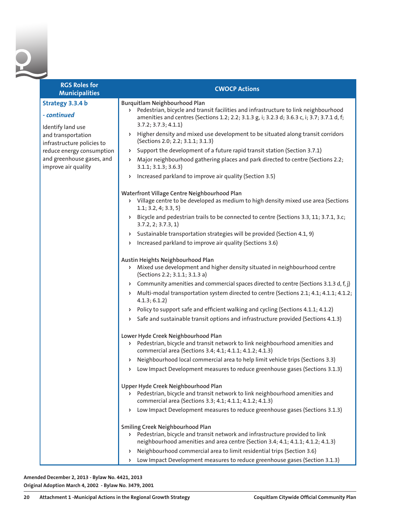| <b>RGS Roles for</b><br><b>Municipalities</b>        | <b>CWOCP Actions</b>                                                                                                                                                                                                                                           |
|------------------------------------------------------|----------------------------------------------------------------------------------------------------------------------------------------------------------------------------------------------------------------------------------------------------------------|
| Strategy 3.3.4 b<br>- continued<br>Identify land use | Burquitlam Neighbourhood Plan<br>Pedestrian, bicycle and transit facilities and infrastructure to link neighbourhood<br>$\triangleright$<br>amenities and centres (Sections 1.2; 2.2; 3.1.3 g, i; 3.2.3 d; 3.6.3 c, i; 3.7; 3.7.1 d, f;<br>3.7.2; 3.7.3; 4.1.1 |
| and transportation<br>infrastructure policies to     | > Higher density and mixed use development to be situated along transit corridors<br>(Sections 2.0; 2.2; 3.1.1; 3.1.3)                                                                                                                                         |
| reduce energy consumption                            | Support the development of a future rapid transit station (Section 3.7.1)<br>$\triangleright$                                                                                                                                                                  |
| and greenhouse gases, and<br>improve air quality     | Major neighbourhood gathering places and park directed to centre (Sections 2.2;<br>$\triangleright$<br>3.1.1; 3.1.3; 3.6.3                                                                                                                                     |
|                                                      | Increased parkland to improve air quality (Section 3.5)<br>Þ.                                                                                                                                                                                                  |
|                                                      | Waterfront Village Centre Neighbourhood Plan<br>Village centre to be developed as medium to high density mixed use area (Sections<br>$\triangleright$<br>1.1; 3.2, 4; 3.3, 5)                                                                                  |
|                                                      | Bicycle and pedestrian trails to be connected to centre (Sections 3.3, 11; 3.7.1, 3.c;<br>Þ.<br>3.7.2, 2; 3.7.3, 1                                                                                                                                             |
|                                                      | Sustainable transportation strategies will be provided (Section 4.1, 9)<br>Þ.                                                                                                                                                                                  |
|                                                      | Increased parkland to improve air quality (Sections 3.6)<br>Þ.                                                                                                                                                                                                 |
|                                                      | Austin Heights Neighbourhood Plan<br>Mixed use development and higher density situated in neighbourhood centre<br>$\triangleright$<br>(Sections 2.2; 3.1.1; 3.1.3 a)                                                                                           |
|                                                      | > Community amenities and commercial spaces directed to centre (Sections 3.1.3 d, f, j)                                                                                                                                                                        |
|                                                      | Multi-modal transportation system directed to centre (Sections 2.1; 4.1; 4.1.1; 4.1.2;<br>Þ.<br>4.1.3; 6.1.2)                                                                                                                                                  |
|                                                      | Policy to support safe and efficient walking and cycling (Sections 4.1.1; 4.1.2)<br>Þ.                                                                                                                                                                         |
|                                                      | Safe and sustainable transit options and infrastructure provided (Sections 4.1.3)<br>Þ.                                                                                                                                                                        |
|                                                      | Lower Hyde Creek Neighbourhood Plan<br>Pedestrian, bicycle and transit network to link neighbourhood amenities and<br>Þ.<br>commercial area (Sections 3.4; 4.1; 4.1.1; 4.1.2; 4.1.3)                                                                           |
|                                                      | Neighbourhood local commercial area to help limit vehicle trips (Sections 3.3)<br>Þ                                                                                                                                                                            |
|                                                      | Low Impact Development measures to reduce greenhouse gases (Sections 3.1.3)<br>Þ.                                                                                                                                                                              |
|                                                      | Upper Hyde Creek Neighbourhood Plan<br>Pedestrian, bicycle and transit network to link neighbourhood amenities and<br>commercial area (Sections 3.3; 4.1; 4.1.1; 4.1.2; 4.1.3)                                                                                 |
|                                                      | Low Impact Development measures to reduce greenhouse gases (Sections 3.1.3)<br>Þ.                                                                                                                                                                              |
|                                                      | Smiling Creek Neighbourhood Plan                                                                                                                                                                                                                               |
|                                                      | Pedestrian, bicycle and transit network and infrastructure provided to link<br>Þ.<br>neighbourhood amenities and area centre (Section 3.4; 4.1; 4.1.1; 4.1.2; 4.1.3)                                                                                           |
|                                                      | Neighbourhood commercial area to limit residential trips (Section 3.6)<br>Þ.                                                                                                                                                                                   |
|                                                      | Low Impact Development measures to reduce greenhouse gases (Section 3.1.3)<br>Þ                                                                                                                                                                                |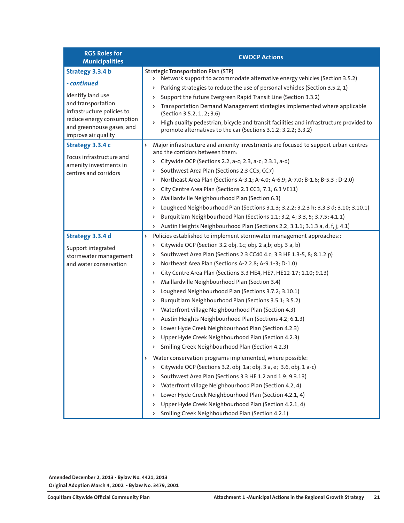| <b>RGS Roles for</b><br><b>Municipalities</b>                                                                                                                                             | <b>CWOCP Actions</b>                                                                                                                                                                                                                                                                                                                                                                                                                                                                                                                                                                                                                                                                                                                                                                                                                                                                                                                                                                                                                                                                                                                                                                                                                                                                                                                     |
|-------------------------------------------------------------------------------------------------------------------------------------------------------------------------------------------|------------------------------------------------------------------------------------------------------------------------------------------------------------------------------------------------------------------------------------------------------------------------------------------------------------------------------------------------------------------------------------------------------------------------------------------------------------------------------------------------------------------------------------------------------------------------------------------------------------------------------------------------------------------------------------------------------------------------------------------------------------------------------------------------------------------------------------------------------------------------------------------------------------------------------------------------------------------------------------------------------------------------------------------------------------------------------------------------------------------------------------------------------------------------------------------------------------------------------------------------------------------------------------------------------------------------------------------|
| Strategy 3.3.4 b<br>- continued<br>Identify land use<br>and transportation<br>infrastructure policies to<br>reduce energy consumption<br>and greenhouse gases, and<br>improve air quality | <b>Strategic Transportation Plan (STP)</b><br>> Network support to accommodate alternative energy vehicles (Section 3.5.2)<br>Parking strategies to reduce the use of personal vehicles (Section 3.5.2, 1)<br>Þ<br>Support the future Evergreen Rapid Transit Line (Section 3.3.2)<br>Þ<br>Transportation Demand Management strategies implemented where applicable<br>Þ<br>(Section 3.5.2, 1, 2; 3.6)<br>High quality pedestrian, bicycle and transit facilities and infrastructure provided to<br>Þ<br>promote alternatives to the car (Sections 3.1.2; 3.2.2; 3.3.2)                                                                                                                                                                                                                                                                                                                                                                                                                                                                                                                                                                                                                                                                                                                                                                  |
| Strategy 3.3.4 c<br>Focus infrastructure and<br>amenity investments in<br>centres and corridors                                                                                           | Major infrastructure and amenity investments are focused to support urban centres<br>Þ<br>and the corridors between them:<br>Citywide OCP (Sections 2.2, a-c; 2.3, a-c; 2.3.1, a-d)<br>Þ<br>Southwest Area Plan (Sections 2.3 CC5, CC7)<br>Þ<br>Northeast Area Plan (Sections A-3.1; A-4.0; A-6.9; A-7.0; B-1.6; B-5.3; D-2.0)<br>Þ<br>City Centre Area Plan (Sections 2.3 CC3; 7.1; 6.3 VE11)<br>Þ<br>Maillardville Neighbourhood Plan (Section 6.3)<br>Þ<br>Lougheed Neighbourhood Plan (Sections 3.1.3; 3.2.2; 3.2.3 h; 3.3.3 d; 3.10; 3.10.1)<br>Þ<br>Burquitlam Neighbourhood Plan (Sections 1.1; 3.2, 4; 3.3, 5; 3.7.5; 4.1.1)<br>Þ<br>Austin Heights Neighbourhood Plan (Sections 2.2; 3.1.1; 3.1.3 a, d, f, j; 4.1)<br>Þ                                                                                                                                                                                                                                                                                                                                                                                                                                                                                                                                                                                                         |
| Strategy 3.3.4 d<br>Support integrated<br>stormwater management<br>and water conservation                                                                                                 | Policies established to implement stormwater management approaches::<br>Þ<br>Citywide OCP (Section 3.2 obj. 1c; obj. 2 a,b; obj. 3 a, b)<br>Þ<br>Southwest Area Plan (Sections 2.3 CC40 4.c; 3.3 HE 1.3-5, 8; 8.1.2.p)<br>Þ<br>Northeast Area Plan (Sections A-2.2.8; A-9.1-3; D-1.0)<br>Þ<br>City Centre Area Plan (Sections 3.3 HE4, HE7, HE12-17; 1.10; 9.13)<br>Þ<br>Maillardville Neighbourhood Plan (Section 3.4)<br>Þ<br>Lougheed Neighbourhood Plan (Sections 3.7.2; 3.10.1)<br>Þ<br>Burquitlam Neighbourhood Plan (Sections 3.5.1; 3.5.2)<br>Þ<br>Waterfront village Neighbourhood Plan (Section 4.3)<br>Þ<br>Austin Heights Neighbourhood Plan (Sections 4.2; 6.1.3)<br>Þ<br>Lower Hyde Creek Neighbourhood Plan (Section 4.2.3)<br>Þ<br>Upper Hyde Creek Neighbourhood Plan (Section 4.2.3)<br>Þ<br>Smiling Creek Neighbourhood Plan (Section 4.2.3)<br>Þ<br>Water conservation programs implemented, where possible:<br>Þ<br>Citywide OCP (Sections 3.2, obj. 1a; obj. 3 a, e; 3.6, obj. 1 a-c)<br>Þ<br>Southwest Area Plan (Sections 3.3 HE 1.2 and 1.9; 9.3.13)<br>Þ<br>Waterfront village Neighbourhood Plan (Section 4.2, 4)<br>Þ<br>Lower Hyde Creek Neighbourhood Plan (Section 4.2.1, 4)<br>Þ<br>Upper Hyde Creek Neighbourhood Plan (Section 4.2.1, 4)<br>Þ<br>Smiling Creek Neighbourhood Plan (Section 4.2.1)<br>Þ |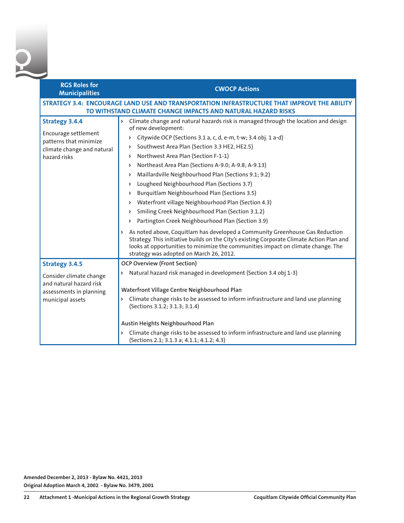| <b>RGS Roles for</b><br><b>Municipalities</b>                                                                         | <b>CWOCP Actions</b>                                                                                                                                                                                                                                                                                                                                                                                                                                                                                                                                                                                                                                                                                                                                                                                                                                                                                                                                                                                        |
|-----------------------------------------------------------------------------------------------------------------------|-------------------------------------------------------------------------------------------------------------------------------------------------------------------------------------------------------------------------------------------------------------------------------------------------------------------------------------------------------------------------------------------------------------------------------------------------------------------------------------------------------------------------------------------------------------------------------------------------------------------------------------------------------------------------------------------------------------------------------------------------------------------------------------------------------------------------------------------------------------------------------------------------------------------------------------------------------------------------------------------------------------|
|                                                                                                                       | STRATEGY 3.4: ENCOURAGE LAND USE AND TRANSPORTATION INFRASTRUCTURE THAT IMPROVE THE ABILITY<br>TO WITHSTAND CLIMATE CHANGE IMPACTS AND NATURAL HAZARD RISKS                                                                                                                                                                                                                                                                                                                                                                                                                                                                                                                                                                                                                                                                                                                                                                                                                                                 |
| <b>Strategy 3.4.4</b><br>Encourage settlement<br>patterns that minimize<br>climate change and natural<br>hazard risks | > Climate change and natural hazards risk is managed through the location and design<br>of new development:<br>Citywide OCP (Sections 3.1 a, c, d, e-m, t-w; 3.4 obj. 1 a-d)<br>d<br>Southwest Area Plan (Section 3.3 HE2, HE2.5)<br>Þ<br>Northwest Area Plan (Section F-1-1)<br>Þ<br>Northeast Area Plan (Sections A-9.0; A-9.8; A-9.13)<br>Þ<br>Maillardville Neighbourhood Plan (Sections 9.1; 9.2)<br>Þ<br>Lougheed Neighbourhood Plan (Sections 3.7)<br>Burquitlam Neighbourhood Plan (Sections 3.5)<br>Þ<br>Waterfront village Neighbourhood Plan (Section 4.3)<br>Þ<br>Smiling Creek Neighbourhood Plan (Section 3.1.2)<br>Þ<br>Partington Creek Neighbourhood Plan (Section 3.9)<br>Þ<br>> As noted above, Coquitlam has developed a Community Greenhouse Gas Reduction<br>Strategy. This initiative builds on the City's existing Corporate Climate Action Plan and<br>looks at opportunities to minimize the communities impact on climate change. The<br>strategy was adopted on March 26, 2012. |
| <b>Strategy 3.4.5</b>                                                                                                 | <b>OCP Overview (Front Section)</b>                                                                                                                                                                                                                                                                                                                                                                                                                                                                                                                                                                                                                                                                                                                                                                                                                                                                                                                                                                         |
| Consider climate change<br>and natural hazard risk<br>assessments in planning<br>municipal assets                     | Natural hazard risk managed in development (Section 3.4 obj 1-3)<br>Þ.<br>Waterfront Village Centre Neighbourhood Plan<br>Climate change risks to be assessed to inform infrastructure and land use planning<br>$\triangleright$<br>(Sections 3.1.2; 3.1.3; 3.1.4)<br>Austin Heights Neighbourhood Plan                                                                                                                                                                                                                                                                                                                                                                                                                                                                                                                                                                                                                                                                                                     |
|                                                                                                                       | > Climate change risks to be assessed to inform infrastructure and land use planning<br>(Sections 2.1; 3.1.3 a; 4.1.1; 4.1.2; 4.3)                                                                                                                                                                                                                                                                                                                                                                                                                                                                                                                                                                                                                                                                                                                                                                                                                                                                          |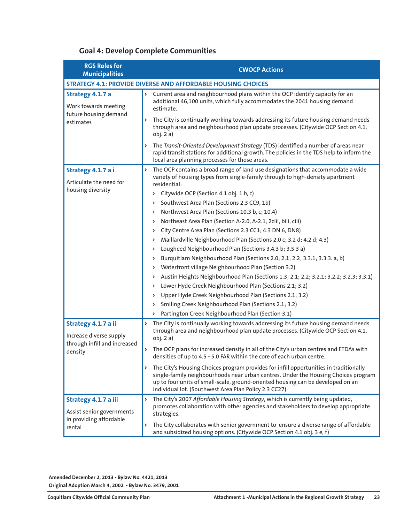#### **Goal 4: Develop Complete Communities**

| <b>RGS Roles for</b><br><b>Municipalities</b>                      | <b>CWOCP Actions</b>                                                                                                                                                                                                                                                                                                         |
|--------------------------------------------------------------------|------------------------------------------------------------------------------------------------------------------------------------------------------------------------------------------------------------------------------------------------------------------------------------------------------------------------------|
|                                                                    | <b>STRATEGY 4.1: PROVIDE DIVERSE AND AFFORDABLE HOUSING CHOICES</b>                                                                                                                                                                                                                                                          |
| Strategy 4.1.7 a<br>Work towards meeting                           | Current area and neighbourhood plans within the OCP identify capacity for an<br>Þ<br>additional 46,100 units, which fully accommodates the 2041 housing demand<br>estimate.                                                                                                                                                  |
| future housing demand<br>estimates                                 | The City is continually working towards addressing its future housing demand needs<br>Þ<br>through area and neighbourhood plan update processes. (Citywide OCP Section 4.1,<br>obj. 2a)                                                                                                                                      |
|                                                                    | The Transit-Oriented Development Strategy (TDS) identified a number of areas near<br>Þ<br>rapid transit stations for additional growth. The policies in the TDS help to inform the<br>local area planning processes for those areas.                                                                                         |
| Strategy 4.1.7 a i<br>Articulate the need for<br>housing diversity | The OCP contains a broad range of land use designations that accommodate a wide<br>Þ<br>variety of housing types from single-family through to high-density apartment<br>residential:                                                                                                                                        |
|                                                                    | Citywide OCP (Section 4.1 obj. 1 b, c)<br>Þ                                                                                                                                                                                                                                                                                  |
|                                                                    | Southwest Area Plan (Sections 2.3 CC9, 1b)<br>Þ                                                                                                                                                                                                                                                                              |
|                                                                    | Northwest Area Plan (Sections 10.3 b, c; 10.4)<br>Þ                                                                                                                                                                                                                                                                          |
|                                                                    | Northeast Area Plan (Section A-2.0, A-2.1, 2ciii, biii, ciii)<br>Þ                                                                                                                                                                                                                                                           |
|                                                                    | City Centre Area Plan (Sections 2.3 CC1; 4.3 DN 6, DN8)<br>Þ                                                                                                                                                                                                                                                                 |
|                                                                    | Maillardville Neighbourhood Plan (Sections 2.0 c; 3.2 d; 4.2 d; 4.3)<br>Þ                                                                                                                                                                                                                                                    |
|                                                                    | Lougheed Neighbourhood Plan (Sections 3.4.3 b; 3.5.3 a)<br>Þ                                                                                                                                                                                                                                                                 |
|                                                                    | Burquitlam Neighbourhood Plan (Sections 2.0; 2.1; 2.2; 3.3.1; 3.3.3. a, b)<br>Þ                                                                                                                                                                                                                                              |
|                                                                    | Waterfront village Neighbourhood Plan (Section 3.2)<br>Þ                                                                                                                                                                                                                                                                     |
|                                                                    | Austin Heights Neighbourhood Plan (Sections 1.3; 2.1; 2.2; 3.2.1; 3.2.2; 3.2.3; 3.3.1)<br>Þ                                                                                                                                                                                                                                  |
|                                                                    | Lower Hyde Creek Neighbourhood Plan (Sections 2.1; 3.2)<br>Þ                                                                                                                                                                                                                                                                 |
|                                                                    | Upper Hyde Creek Neighbourhood Plan (Sections 2.1; 3.2)<br>Þ                                                                                                                                                                                                                                                                 |
|                                                                    | Smiling Creek Neighbourhood Plan (Sections 2.1; 3.2)<br>Þ                                                                                                                                                                                                                                                                    |
|                                                                    | Partington Creek Neighbourhood Plan (Section 3.1)<br>Þ                                                                                                                                                                                                                                                                       |
| Strategy 4.1.7 a ii<br>Increase diverse supply                     | The City is continually working towards addressing its future housing demand needs<br>Þ<br>through area and neighbourhood plan update processes. (Citywide OCP Section 4.1,<br>obj. 2a)                                                                                                                                      |
| through infill and increased<br>density                            | The OCP plans for increased density in all of the City's urban centres and FTDAs with<br>Þ<br>densities of up to 4.5 - 5.0 FAR within the core of each urban centre.                                                                                                                                                         |
|                                                                    | Þ<br>The City's Housing Choices program provides for infill opportunities in traditionally<br>single-family neighbourhoods near urban centres. Under the Housing Choices program<br>up to four units of small-scale, ground-oriented housing can be developed on an<br>individual lot. (Southwest Area Plan Policy 2.3 CC27) |
| Strategy 4.1.7 a iii<br>Assist senior governments                  | The City's 2007 Affordable Housing Strategy, which is currently being updated,<br>Þ<br>promotes collaboration with other agencies and stakeholders to develop appropriate<br>strategies.                                                                                                                                     |
| in providing affordable<br>rental                                  | The City collaborates with senior government to ensure a diverse range of affordable<br>d<br>and subsidized housing options. (Citywide OCP Section 4.1 obj. 3 e, f)                                                                                                                                                          |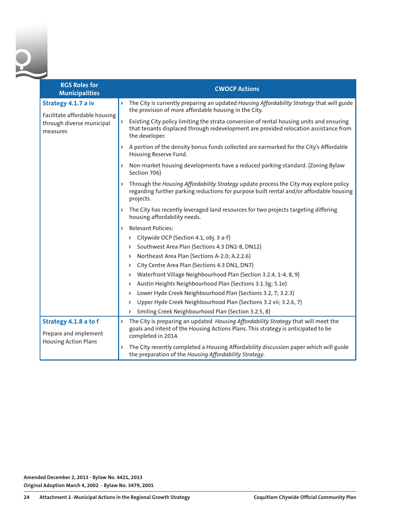| <b>RGS Roles for</b><br><b>Municipalities</b>                          |    | <b>CWOCP Actions</b>                                                                                                                                                                               |
|------------------------------------------------------------------------|----|----------------------------------------------------------------------------------------------------------------------------------------------------------------------------------------------------|
| Strategy 4.1.7 a iv                                                    | Þ. | The City is currently preparing an updated Housing Affordability Strategy that will guide<br>the provision of more affordable housing in the City.                                                 |
| Facilitate affordable housing<br>through diverse municipal<br>measures | Þ  | Existing City policy limiting the strata conversion of rental housing units and ensuring<br>that tenants displaced through redevelopment are provided relocation assistance from<br>the developer. |
|                                                                        |    | > A portion of the density bonus funds collected are earmarked for the City's Affordable<br>Housing Reserve Fund.                                                                                  |
|                                                                        |    | > Non-market housing developments have a reduced parking standard. (Zoning Bylaw<br>Section 706)                                                                                                   |
|                                                                        |    | > Through the Housing Affordability Strategy update process the City may explore policy<br>regarding further parking reductions for purpose built rental and/or affordable housing<br>projects.    |
|                                                                        |    | > The City has recently leveraged land resources for two projects targeting differing<br>housing affordability needs.                                                                              |
|                                                                        | Þ. | <b>Relevant Policies:</b>                                                                                                                                                                          |
|                                                                        |    | Citywide OCP (Section 4.1, obj. 3 a-f)<br>Þ.                                                                                                                                                       |
|                                                                        |    | Southwest Area Plan (Sections 4.3 DN2-8, DN12)<br>Þ                                                                                                                                                |
|                                                                        |    | Northeast Area Plan (Sections A-2.0; A.2.2.6)<br>Þ                                                                                                                                                 |
|                                                                        |    | City Centre Area Plan (Sections 4.3 DN1, DN7)<br>Þ                                                                                                                                                 |
|                                                                        |    | Waterfront Village Neighbourhood Plan (Section 3.2.4, 1-4, 8, 9)<br>Þ                                                                                                                              |
|                                                                        |    | Austin Heights Neighbourhood Plan (Sections 3.1.3g; 5.1e)<br>Þ                                                                                                                                     |
|                                                                        |    | Lower Hyde Creek Neighbourhood Plan (Sections 3.2, 7; 3.2.3)<br>Þ                                                                                                                                  |
|                                                                        |    | Upper Hyde Creek Neighbourhood Plan (Sections 3.2 vii; 3.2.6, 7)<br>Þ                                                                                                                              |
|                                                                        |    | Smiling Creek Neighbourhood Plan (Section 3.2.5, 8)<br>Þ                                                                                                                                           |
| Strategy 4.1.8 a to f<br>Prepare and implement                         | Þ  | The City is preparing an updated Housing Affordability Strategy that will meet the<br>goals and intent of the Housing Actions Plans. This strategy is anticipated to be<br>completed in 2014.      |
| <b>Housing Action Plans</b>                                            | Þ  | The City recently completed a Housing Affordability discussion paper which will guide<br>the preparation of the Housing Affordability Strategy.                                                    |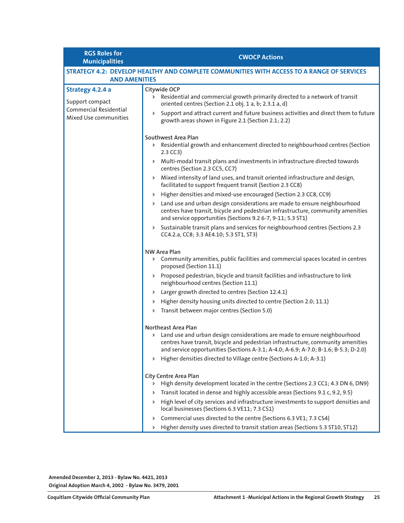**RGS Roles for Municipalities CWOCP Actions**

| <b>AND AMENITIES</b>                            | STRATEGY 4.2: DEVELOP HEALTHY AND COMPLETE COMMUNITIES WITH ACCESS TO A RANGE OF SERVICES                                                                                                                                                                                                                                                                   |
|-------------------------------------------------|-------------------------------------------------------------------------------------------------------------------------------------------------------------------------------------------------------------------------------------------------------------------------------------------------------------------------------------------------------------|
| Strategy 4.2.4 a<br>Support compact             | Citywide OCP<br>> Residential and commercial growth primarily directed to a network of transit<br>oriented centres (Section 2.1 obj. 1 a, b; 2.3.1 a, d)                                                                                                                                                                                                    |
| Commercial Residential<br>Mixed Use communities | Support and attract current and future business activities and direct them to future<br>Þ.<br>growth areas shown in Figure 2.1 (Section 2.1; 2.2)                                                                                                                                                                                                           |
|                                                 | Southwest Area Plan<br>> Residential growth and enhancement directed to neighbourhood centres (Section<br>$2.3$ CC3)                                                                                                                                                                                                                                        |
|                                                 | Multi-modal transit plans and investments in infrastructure directed towards<br>Þ.<br>centres (Section 2.3 CC5, CC7)                                                                                                                                                                                                                                        |
|                                                 | Mixed intensity of land uses, and transit oriented infrastructure and design,<br>Þ<br>facilitated to support frequent transit (Section 2.3 CC8)                                                                                                                                                                                                             |
|                                                 | Higher densities and mixed-use encouraged (Section 2.3 CC8, CC9)<br>Þ                                                                                                                                                                                                                                                                                       |
|                                                 | Land use and urban design considerations are made to ensure neighbourhood<br>Þ.<br>centres have transit, bicycle and pedestrian infrastructure, community amenities<br>and service opportunities (Sections 9.2 6-7, 9-11; 5.3 ST1)                                                                                                                          |
|                                                 | Sustainable transit plans and services for neighbourhood centres (Sections 2.3<br>Þ<br>CC4.2.a, CC8; 3.3 AE4.10; 5.3 ST1, ST3)                                                                                                                                                                                                                              |
|                                                 | <b>NW Area Plan</b>                                                                                                                                                                                                                                                                                                                                         |
|                                                 | > Community amenities, public facilities and commercial spaces located in centres<br>proposed (Section 11.1)                                                                                                                                                                                                                                                |
|                                                 | > Proposed pedestrian, bicycle and transit facilities and infrastructure to link<br>neighbourhood centres (Section 11.1)                                                                                                                                                                                                                                    |
|                                                 | Larger growth directed to centres (Section 12.4.1)<br>Þ                                                                                                                                                                                                                                                                                                     |
|                                                 | Higher density housing units directed to centre (Section 2.0; 11.1)<br>Þ                                                                                                                                                                                                                                                                                    |
|                                                 | Transit between major centres (Section 5.0)<br>Þ                                                                                                                                                                                                                                                                                                            |
|                                                 | Northeast Area Plan<br>> Land use and urban design considerations are made to ensure neighbourhood<br>centres have transit, bicycle and pedestrian infrastructure, community amenities<br>and service opportunities (Sections A-3.1; A-4.0; A-6.9; A-7.0; B-1.6; B-5.3; D-2.0)<br>Higher densities directed to Village centre (Sections A-1.0; A-3.1)<br>Þ. |
|                                                 | City Centre Area Plan<br>High density development located in the centre (Sections 2.3 CC1; 4.3 DN 6, DN9)<br>Þ.                                                                                                                                                                                                                                             |
|                                                 | Transit located in dense and highly accessible areas (Sections 9.1 c, 9.2, 9.5)                                                                                                                                                                                                                                                                             |
|                                                 | High level of city services and infrastructure investments to support densities and<br>Þ<br>local businesses (Sections 6.3 VE11; 7.3 CS1)                                                                                                                                                                                                                   |
|                                                 | Commercial uses directed to the centre (Sections 6.3 VE1; 7.3 CS4)<br>Þ.                                                                                                                                                                                                                                                                                    |
|                                                 | Higher density uses directed to transit station areas (Sections 5.3 ST10, ST12)<br>Þ.                                                                                                                                                                                                                                                                       |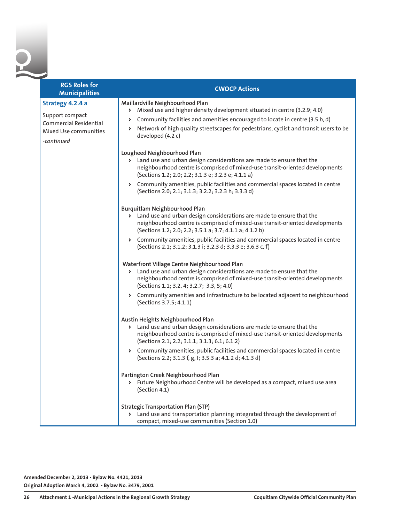0

| <b>RGS Roles for</b><br><b>Municipalities</b>                                                        | <b>CWOCP Actions</b>                                                                                                                                                                                                                                                                                                                                                                                                               |
|------------------------------------------------------------------------------------------------------|------------------------------------------------------------------------------------------------------------------------------------------------------------------------------------------------------------------------------------------------------------------------------------------------------------------------------------------------------------------------------------------------------------------------------------|
| Strategy 4.2.4 a<br>Support compact<br>Commercial Residential<br>Mixed Use communities<br>-continued | Maillardville Neighbourhood Plan<br>Mixed use and higher density development situated in centre (3.2.9; 4.0)<br>Þ<br>Community facilities and amenities encouraged to locate in centre (3.5 b, d)<br>Þ.<br>Network of high quality streetscapes for pedestrians, cyclist and transit users to be<br>Þ.<br>developed (4.2 c)                                                                                                        |
|                                                                                                      | Lougheed Neighbourhood Plan<br>Land use and urban design considerations are made to ensure that the<br>Þ.<br>neighbourhood centre is comprised of mixed-use transit-oriented developments<br>(Sections 1.2; 2.0; 2.2; 3.1.3 e; 3.2.3 e; 4.1.1 a)                                                                                                                                                                                   |
|                                                                                                      | > Community amenities, public facilities and commercial spaces located in centre<br>(Sections 2.0; 2.1; 3.1.3; 3.2.2; 3.2.3 h; 3.3.3 d)                                                                                                                                                                                                                                                                                            |
|                                                                                                      | Burquitlam Neighbourhood Plan<br>Land use and urban design considerations are made to ensure that the<br>Þ.<br>neighbourhood centre is comprised of mixed-use transit-oriented developments<br>(Sections 1.2; 2.0; 2.2; 3.5.1 a; 3.7; 4.1.1 a; 4.1.2 b)<br>Community amenities, public facilities and commercial spaces located in centre<br>$\blacktriangleright$<br>(Sections 2.1; 3.1.2; 3.1.3 i; 3.2.3 d; 3.3.3 e; 3.6.3 c, f) |
|                                                                                                      | Waterfront Village Centre Neighbourhood Plan<br>Land use and urban design considerations are made to ensure that the<br>Þ.<br>neighbourhood centre is comprised of mixed-use transit-oriented developments<br>(Sections 1.1; 3.2, 4; 3.2.7; 3.3, 5; 4.0)                                                                                                                                                                           |
|                                                                                                      | Community amenities and infrastructure to be located adjacent to neighbourhood<br>$\triangleright$<br>(Sections 3.7.5; 4.1.1)                                                                                                                                                                                                                                                                                                      |
|                                                                                                      | Austin Heights Neighbourhood Plan<br>Land use and urban design considerations are made to ensure that the<br>Þ.<br>neighbourhood centre is comprised of mixed-use transit-oriented developments<br>(Sections 2.1; 2.2; 3.1.1; 3.1.3; 6.1; 6.1.2)                                                                                                                                                                                   |
|                                                                                                      | Community amenities, public facilities and commercial spaces located in centre<br>$\blacktriangleright$<br>(Sections 2.2; 3.1.3 f, g, l; 3.5.3 a; 4.1.2 d; 4.1.3 d)                                                                                                                                                                                                                                                                |
|                                                                                                      | Partington Creek Neighbourhood Plan<br>> Future Neighbourhood Centre will be developed as a compact, mixed use area<br>(Section 4.1)                                                                                                                                                                                                                                                                                               |
|                                                                                                      | <b>Strategic Transportation Plan (STP)</b><br>> Land use and transportation planning integrated through the development of<br>compact, mixed-use communities (Section 1.0)                                                                                                                                                                                                                                                         |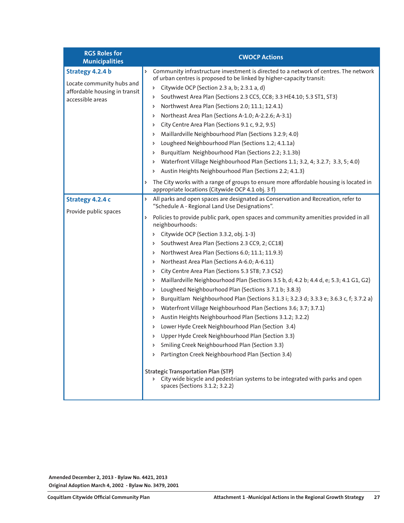| <b>RGS Roles for</b><br><b>Municipalities</b>                                                      | <b>CWOCP Actions</b>                                                                                                                                                                                                                                                                                                                                                                                                                                                                                                                                                                                                                                                                                                                                                                                                                                                                                                                                                                                                                                                                                                                                                                                                                                                                                                                            |
|----------------------------------------------------------------------------------------------------|-------------------------------------------------------------------------------------------------------------------------------------------------------------------------------------------------------------------------------------------------------------------------------------------------------------------------------------------------------------------------------------------------------------------------------------------------------------------------------------------------------------------------------------------------------------------------------------------------------------------------------------------------------------------------------------------------------------------------------------------------------------------------------------------------------------------------------------------------------------------------------------------------------------------------------------------------------------------------------------------------------------------------------------------------------------------------------------------------------------------------------------------------------------------------------------------------------------------------------------------------------------------------------------------------------------------------------------------------|
| Strategy 4.2.4 b<br>Locate community hubs and<br>affordable housing in transit<br>accessible areas | Community infrastructure investment is directed to a network of centres. The network<br>Þ<br>of urban centres is proposed to be linked by higher-capacity transit:<br>Citywide OCP (Section 2.3 a, b; 2.3.1 a, d)<br>Þ<br>Southwest Area Plan (Sections 2.3 CC5, CC8; 3.3 HE4.10; 5.3 ST1, ST3)<br>Þ<br>Northwest Area Plan (Sections 2.0; 11.1; 12.4.1)<br>Þ<br>Northeast Area Plan (Sections A-1.0; A-2.2.6; A-3.1)<br>Þ<br>City Centre Area Plan (Sections 9.1 c, 9.2, 9.5)<br>Þ<br>Maillardville Neighbourhood Plan (Sections 3.2.9; 4.0)<br>Þ<br>Lougheed Neighbourhood Plan (Sections 1.2; 4.1.1a)<br>Þ<br>Burquitlam Neighbourhood Plan (Sections 2.2; 3.1.3b)<br>Þ<br>Waterfront Village Neighbourhood Plan (Sections 1.1; 3.2, 4; 3.2.7; 3.3, 5; 4.0)<br>Þ<br>Austin Heights Neighbourhood Plan (Sections 2.2; 4.1.3)<br>Þ<br>The City works with a range of groups to ensure more affordable housing is located in<br>Þ<br>appropriate locations (Citywide OCP 4.1 obj. 3 f)                                                                                                                                                                                                                                                                                                                                                          |
| Strategy 4.2.4 c<br>Provide public spaces                                                          | All parks and open spaces are designated as Conservation and Recreation, refer to<br>Þ<br>"Schedule A - Regional Land Use Designations".<br>Policies to provide public park, open spaces and community amenities provided in all<br>Þ<br>neighbourhoods:<br>Citywide OCP (Section 3.3.2, obj. 1-3)<br>Þ<br>Southwest Area Plan (Sections 2.3 CC9, 2; CC18)<br>Þ<br>Northwest Area Plan (Sections 6.0; 11.1; 11.9.3)<br>Þ<br>Northeast Area Plan (Sections A-6.0; A-6.11)<br>Þ<br>City Centre Area Plan (Sections 5.3 ST8; 7.3 CS2)<br>Þ<br>Maillardville Neighbourhood Plan (Sections 3.5 b, d; 4.2 b; 4.4 d, e; 5.3; 4.1 G1, G2)<br>Þ<br>Lougheed Neighbourhood Plan (Sections 3.7.1 b; 3.8.3)<br>Þ<br>Burquitlam Neighbourhood Plan (Sections 3.1.3 i; 3.2.3 d; 3.3.3 e; 3.6.3 c, f; 3.7.2 a)<br>Þ<br>Waterfront Village Neighbourhood Plan (Sections 3.6; 3.7; 3.7.1)<br>Þ<br>Austin Heights Neighbourhood Plan (Sections 3.1.2; 3.2.2)<br>Þ<br>Lower Hyde Creek Neighbourhood Plan (Section 3.4)<br>Þ<br>Upper Hyde Creek Neighbourhood Plan (Section 3.3)<br>Þ<br>Smiling Creek Neighbourhood Plan (Section 3.3)<br>> Partington Creek Neighbourhood Plan (Section 3.4)<br><b>Strategic Transportation Plan (STP)</b><br>> City wide bicycle and pedestrian systems to be integrated with parks and open<br>spaces (Sections 3.1.2; 3.2.2) |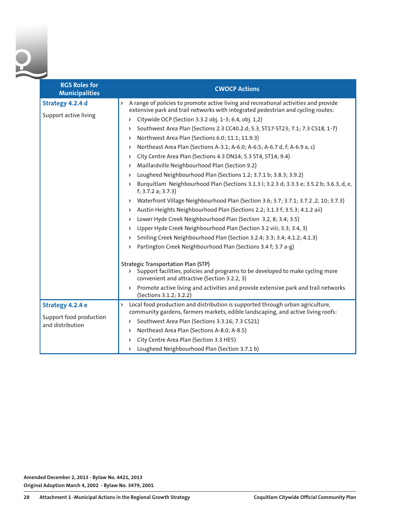| <b>RGS Roles for</b><br><b>Municipalities</b> | <b>CWOCP Actions</b>                                                                                                                                                                   |
|-----------------------------------------------|----------------------------------------------------------------------------------------------------------------------------------------------------------------------------------------|
| Strategy 4.2.4 d                              | A range of policies to promote active living and recreational activities and provide<br>Þ<br>extensive park and trail networks with integrated pedestrian and cycling routes:          |
| Support active living                         | Citywide OCP (Section 3.3.2 obj. 1-3; 6.4, obj. 1,2)<br>Þ                                                                                                                              |
|                                               | Southwest Area Plan (Sections 2.3 CC40.2.d; 5.3, ST17-ST23; 7.1; 7.3 CS18, 1-7)<br>d                                                                                                   |
|                                               | Northwest Area Plan (Sections 6.0; 11.1; 11.9.3)<br>Þ                                                                                                                                  |
|                                               | Northeast Area Plan (Sections A-3.1; A-6.0; A-6.5; A-6.7 d, f; A-6.9 a, c)<br>Þ                                                                                                        |
|                                               | City Centre Area Plan (Sections 4.3 DN14; 5.3 ST4, ST14; 9.4)<br>Þ                                                                                                                     |
|                                               | Maillardville Neighbourhood Plan (Section 9.2)<br>Þ                                                                                                                                    |
|                                               | Lougheed Neighbourhood Plan (Sections 1.2; 3.7.1 b; 3.8.3; 3.9.2)<br>Þ                                                                                                                 |
|                                               | Burquitlam Neighbourhood Plan (Sections 3.1.3 I; 3.2.3 d; 3.3.3 e; 3.5.2 b; 3.6.3, d, e,<br>Þ<br>f; 3.7.2 a; 3.7.3)                                                                    |
|                                               | Waterfront Village Neighbourhood Plan (Section 3.6; 3.7; 3.7.1; 3.7.2, 2, 10; 3.7.3)<br>Þ                                                                                              |
|                                               | Austin Heights Neighbourhood Plan (Sections 2.2; 3.1.3 f; 3.5.3; 4.1.2 aii)<br>Þ                                                                                                       |
|                                               | Lower Hyde Creek Neighbourhood Plan (Section 3.2, 8; 3.4; 3.5)<br>Þ                                                                                                                    |
|                                               | Upper Hyde Creek Neighbourhood Plan (Section 3.2 viii; 3.3; 3.4, 3)<br>Þ                                                                                                               |
|                                               | Smiling Creek Neighbourhood Plan (Section 3.2.4; 3.3; 3.4; 4.1.2; 4.1.3)<br>Þ                                                                                                          |
|                                               | Partington Creek Neighbourhood Plan (Sections 3.4 f; 3.7 a-g)<br>Þ                                                                                                                     |
|                                               | <b>Strategic Transportation Plan (STP)</b>                                                                                                                                             |
|                                               | > Support facilities, policies and programs to be developed to make cycling more<br>convenient and attractive (Section 3.2.2, 3)                                                       |
|                                               | Promote active living and activities and provide extensive park and trail networks<br>Þ.<br>(Sections 3.1.2; 3.2.2)                                                                    |
| Strategy 4.2.4 e<br>Support food production   | Local food production and distribution is supported through urban agriculture,<br>$\triangleright$<br>community gardens, farmers markets, edible landscaping, and active living roofs: |
|                                               | Southwest Area Plan (Sections 3.3.16; 7.3 CS21)<br>Þ                                                                                                                                   |
| and distribution                              | Northeast Area Plan (Sections A-8.0; A-8.5)<br>Þ                                                                                                                                       |
|                                               | City Centre Area Plan (Section 3.3 HE5)<br>Þ                                                                                                                                           |
|                                               | Lougheed Neighbourhood Plan (Section 3.7.1 b)<br>Þ.                                                                                                                                    |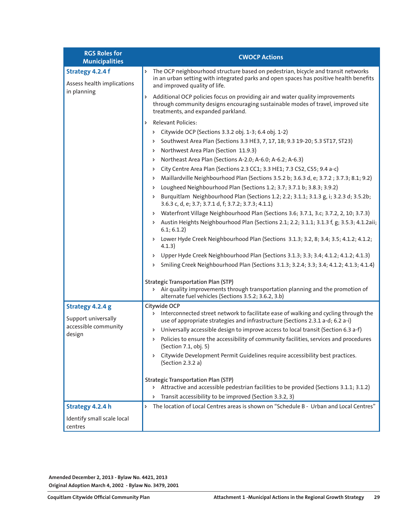| <b>RGS Roles for</b>                                  | <b>CWOCP Actions</b>                                                                                                                                                                                              |
|-------------------------------------------------------|-------------------------------------------------------------------------------------------------------------------------------------------------------------------------------------------------------------------|
| <b>Municipalities</b>                                 |                                                                                                                                                                                                                   |
| Strategy 4.2.4 f<br>Assess health implications        | The OCP neighbourhood structure based on pedestrian, bicycle and transit networks<br>Þ<br>in an urban setting with integrated parks and open spaces has positive health benefits<br>and improved quality of life. |
| in planning                                           | Additional OCP policies focus on providing air and water quality improvements<br>Þ<br>through community designs encouraging sustainable modes of travel, improved site<br>treatments, and expanded parkland.      |
|                                                       | <b>Relevant Policies:</b><br>Þ                                                                                                                                                                                    |
|                                                       | Citywide OCP (Sections 3.3.2 obj. 1-3; 6.4 obj. 1-2)<br>Þ                                                                                                                                                         |
|                                                       | Southwest Area Plan (Sections 3.3 HE3, 7, 17, 18; 9.3 19-20; 5.3 ST17, ST23)<br>Þ                                                                                                                                 |
|                                                       | Northwest Area Plan (Section 11.9.3)<br>Þ                                                                                                                                                                         |
|                                                       | Northeast Area Plan (Sections A-2.0; A-6.0; A-6.2; A-6.3)<br>Þ                                                                                                                                                    |
|                                                       | City Centre Area Plan (Sections 2.3 CC1; 3.3 HE1; 7.3 CS2, CS5; 9.4 a-c)<br>Þ                                                                                                                                     |
|                                                       | Maillardville Neighbourhood Plan (Sections 3.5.2 b; 3.6.3 d, e; 3.7.2; 3.7.3; 8.1; 9.2)<br>Þ                                                                                                                      |
|                                                       | Lougheed Neighbourhood Plan (Sections 1.2; 3.7; 3.7.1 b; 3.8.3; 3.9.2)<br>Þ                                                                                                                                       |
|                                                       | Burquitlam Neighbourhood Plan (Sections 1.2; 2.2; 3.1.1; 3.1.3 g, i; 3.2.3 d; 3.5.2b;<br>3.6.3 c, d, e; 3.7; 3.7.1 d, f; 3.7.2; 3.7.3; 4.1.1)                                                                     |
|                                                       | Waterfront Village Neighbourhood Plan (Sections 3.6; 3.7.1, 3.c; 3.7.2, 2, 10; 3.7.3)<br>Þ                                                                                                                        |
|                                                       | Austin Heights Neighbourhood Plan (Sections 2.1; 2.2; 3.1.1; 3.1.3 f, g; 3.5.3; 4.1.2aii;<br>Þ.<br>6.1; 6.1.2)                                                                                                    |
|                                                       | Lower Hyde Creek Neighbourhood Plan (Sections 3.1.3; 3.2, 8; 3.4; 3.5; 4.1.2; 4.1.2;<br>4.1.3)                                                                                                                    |
|                                                       | Upper Hyde Creek Neighbourhood Plan (Sections 3.1.3; 3.3; 3.4; 4.1.2; 4.1.2; 4.1.3)<br>Þ                                                                                                                          |
|                                                       | Smiling Creek Neighbourhood Plan (Sections 3.1.3; 3.2.4; 3.3; 3.4; 4.1.2; 4.1.3; 4.1.4)<br>Þ                                                                                                                      |
|                                                       | <b>Strategic Transportation Plan (STP)</b><br>> Air quality improvements through transportation planning and the promotion of<br>alternate fuel vehicles (Sections 3.5.2; 3.6.2, 3.b)                             |
| Strategy 4.2.4 g                                      | Citywide OCP                                                                                                                                                                                                      |
| Support universally<br>accessible community<br>design | > Interconnected street network to facilitate ease of walking and cycling through the<br>use of appropriate strategies and infrastructure (Sections 2.3.1 a-d; 6.2 a-i)                                           |
|                                                       | Universally accessible design to improve access to local transit (Section 6.3 a-f)<br>Þ                                                                                                                           |
|                                                       | Policies to ensure the accessibility of community facilities, services and procedures<br>Þ.<br>(Section 7.1, obj. 5)                                                                                              |
|                                                       | > Citywide Development Permit Guidelines require accessibility best practices.<br>(Section 2.3.2 a)                                                                                                               |
|                                                       | <b>Strategic Transportation Plan (STP)</b><br>> Attractive and accessible pedestrian facilities to be provided (Sections 3.1.1; 3.1.2)                                                                            |
|                                                       | Transit accessibility to be improved (Section 3.3.2, 3)<br>Þ                                                                                                                                                      |
| Strategy 4.2.4 h                                      | The location of Local Centres areas is shown on "Schedule B - Urban and Local Centres"<br>Þ                                                                                                                       |
| Identify small scale local<br>centres                 |                                                                                                                                                                                                                   |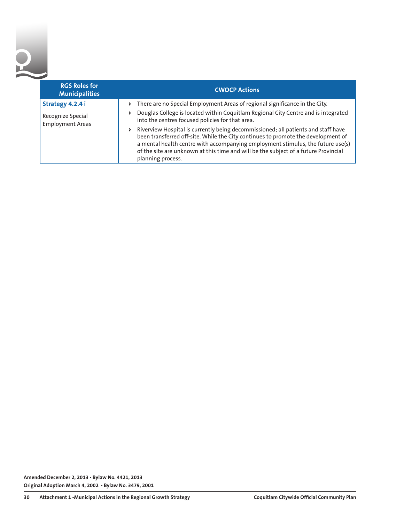2

| <b>RGS Roles for</b><br><b>Municipalities</b> | <b>CWOCP Actions</b>                                                                                                                                                                                                                                                                                                                                                        |
|-----------------------------------------------|-----------------------------------------------------------------------------------------------------------------------------------------------------------------------------------------------------------------------------------------------------------------------------------------------------------------------------------------------------------------------------|
| Strategy 4.2.4 i                              | There are no Special Employment Areas of regional significance in the City.<br>d.                                                                                                                                                                                                                                                                                           |
| Recognize Special<br><b>Employment Areas</b>  | Douglas College is located within Coquitlam Regional City Centre and is integrated<br>d<br>into the centres focused policies for that area.                                                                                                                                                                                                                                 |
|                                               | Riverview Hospital is currently being decommissioned; all patients and staff have<br>Þ.<br>been transferred off-site. While the City continues to promote the development of<br>a mental health centre with accompanying employment stimulus, the future use(s)<br>of the site are unknown at this time and will be the subject of a future Provincial<br>planning process. |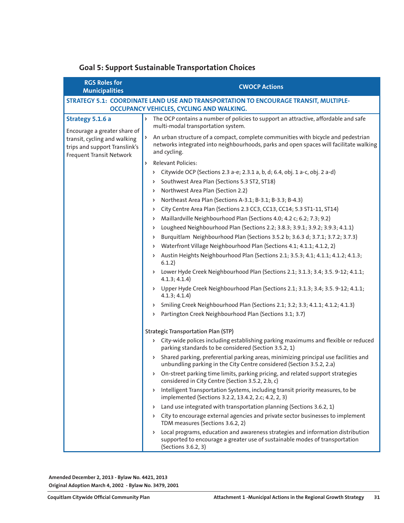| <b>RGS Roles for</b><br><b>Municipalities</b>                                                                             | <b>CWOCP Actions</b>                                                                                                                                                                        |
|---------------------------------------------------------------------------------------------------------------------------|---------------------------------------------------------------------------------------------------------------------------------------------------------------------------------------------|
|                                                                                                                           | STRATEGY 5.1: COORDINATE LAND USE AND TRANSPORTATION TO ENCOURAGE TRANSIT, MULTIPLE-                                                                                                        |
|                                                                                                                           | OCCUPANCY VEHICLES, CYCLING AND WALKING.                                                                                                                                                    |
| Strategy 5.1.6 a                                                                                                          | The OCP contains a number of policies to support an attractive, affordable and safe<br>Þ<br>multi-modal transportation system.                                                              |
| Encourage a greater share of<br>transit, cycling and walking<br>trips and support Translink's<br>Frequent Transit Network | An urban structure of a compact, complete communities with bicycle and pedestrian<br>networks integrated into neighbourhoods, parks and open spaces will facilitate walking<br>and cycling. |
|                                                                                                                           | Relevant Policies:<br>Þ.                                                                                                                                                                    |
|                                                                                                                           | Citywide OCP (Sections 2.3 a-e; 2.3.1 a, b, d; 6.4, obj. 1 a-c, obj. 2 a-d)<br>Þ<br>Southwest Area Plan (Sections 5.3 ST2, ST18)<br>Þ                                                       |
|                                                                                                                           | Northwest Area Plan (Section 2.2)<br>Þ                                                                                                                                                      |
|                                                                                                                           | Northeast Area Plan (Sections A-3.1; B-3.1; B-3.3; B-4.3)<br>Þ                                                                                                                              |
|                                                                                                                           | City Centre Area Plan (Sections 2.3 CC3, CC13, CC14; 5.3 ST1-11, ST14)<br>Þ                                                                                                                 |
|                                                                                                                           | Maillardville Neighbourhood Plan (Sections 4.0; 4.2 c; 6.2; 7.3; 9.2)<br>Þ                                                                                                                  |
|                                                                                                                           | Lougheed Neighbourhood Plan (Sections 2.2; 3.8.3; 3.9.1; 3.9.2; 3.9.3; 4.1.1)<br>Þ                                                                                                          |
|                                                                                                                           | Burquitlam Neighbourhood Plan (Sections 3.5.2 b; 3.6.3 d; 3.7.1; 3.7.2; 3.7.3)<br>Þ                                                                                                         |
|                                                                                                                           | Waterfront Village Neighbourhood Plan (Sections 4.1; 4.1.1; 4.1.2, 2)<br>Þ                                                                                                                  |
|                                                                                                                           | Austin Heights Neighbourhood Plan (Sections 2.1; 3.5.3; 4.1; 4.1.1; 4.1.2; 4.1.3;<br>Þ.<br>6.1.2)                                                                                           |
|                                                                                                                           | Lower Hyde Creek Neighbourhood Plan (Sections 2.1; 3.1.3; 3.4; 3.5. 9-12; 4.1.1;<br>Þ<br>4.1.3; 4.1.4)                                                                                      |
|                                                                                                                           | Upper Hyde Creek Neighbourhood Plan (Sections 2.1; 3.1.3; 3.4; 3.5. 9-12; 4.1.1;<br>Þ.<br>4.1.3; 4.1.4)                                                                                     |
|                                                                                                                           | Smiling Creek Neighbourhood Plan (Sections 2.1; 3.2; 3.3; 4.1.1; 4.1.2; 4.1.3)<br>Þ                                                                                                         |
|                                                                                                                           | Partington Creek Neighbourhood Plan (Sections 3.1; 3.7)<br>Þ                                                                                                                                |
|                                                                                                                           | <b>Strategic Transportation Plan (STP)</b>                                                                                                                                                  |
|                                                                                                                           | > City-wide polices including establishing parking maximums and flexible or reduced<br>parking standards to be considered (Section 3.5.2, 1)                                                |
|                                                                                                                           | Shared parking, preferential parking areas, minimizing principal use facilities and<br>unbundling parking in the City Centre considered (Section 3.5.2, 2.a)                                |
|                                                                                                                           | On-street parking time limits, parking pricing, and related support strategies<br>considered in City Centre (Section 3.5.2, 2.b, c)                                                         |
|                                                                                                                           | > Intelligent Transportation Systems, including transit priority measures, to be<br>implemented (Sections 3.2.2, 13.4.2, 2.c; 4.2, 2, 3)                                                    |
|                                                                                                                           | Land use integrated with transportation planning (Sections 3.6.2, 1)<br>Þ                                                                                                                   |
|                                                                                                                           | > City to encourage external agencies and private sector businesses to implement<br>TDM measures (Sections 3.6.2, 2)                                                                        |
|                                                                                                                           | Local programs, education and awareness strategies and information distribution<br>Þ.<br>supported to encourage a greater use of sustainable modes of transportation<br>(Sections 3.6.2, 3) |

#### **Goal 5: Support Sustainable Transportation Choices**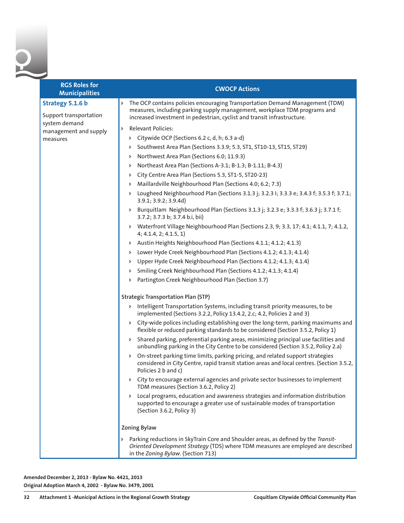2

| <b>RGS Roles for</b><br><b>Municipalities</b>               | <b>CWOCP Actions</b>                                                                                                                                                                                                                      |
|-------------------------------------------------------------|-------------------------------------------------------------------------------------------------------------------------------------------------------------------------------------------------------------------------------------------|
| Strategy 5.1.6 b<br>Support transportation<br>system demand | The OCP contains policies encouraging Transportation Demand Management (TDM)<br>Þ<br>measures, including parking supply management, workplace TDM programs and<br>increased investment in pedestrian, cyclist and transit infrastructure. |
| management and supply                                       | <b>Relevant Policies:</b><br>Þ                                                                                                                                                                                                            |
| measures                                                    | > Citywide OCP (Sections 6.2 c, d, h; 6.3 a-d)                                                                                                                                                                                            |
|                                                             | Southwest Area Plan (Sections 3.3.9; 5.3, ST1, ST10-13, ST15, ST29)<br>Þ.                                                                                                                                                                 |
|                                                             | Northwest Area Plan (Sections 6.0; 11.9.3)<br>Þ.                                                                                                                                                                                          |
|                                                             | Northeast Area Plan (Sections A-3.1; B-1.3; B-1.11; B-4.3)<br>Þ.                                                                                                                                                                          |
|                                                             | City Centre Area Plan (Sections 5.3, ST1-5, ST20-23)<br>Þ.                                                                                                                                                                                |
|                                                             | Maillardville Neighbourhood Plan (Sections 4.0; 6.2; 7.3)<br>Þ.                                                                                                                                                                           |
|                                                             | > Lougheed Neighbourhood Plan (Sections 3.1.3 j; 3.2.3 l; 3.3.3 e; 3.4.3 f; 3.5.3 f; 3.7.1;<br>3.9.1; 3.9.2; 3.9.4d)                                                                                                                      |
|                                                             | > Burquitlam Neighbourhood Plan (Sections 3.1.3 j; 3.2.3 e; 3.3.3 f; 3.6.3 j; 3.7.1 f;<br>3.7.2; 3.7.3 b; 3.7.4 b.i, bii)                                                                                                                 |
|                                                             | > Waterfront Village Neighbourhood Plan (Sections 2.3, 9; 3.3, 17; 4.1; 4.1.1, 7; 4.1.2,<br>4; 4.1.4, 2; 4.1.5, 1)                                                                                                                        |
|                                                             | > Austin Heights Neighbourhood Plan (Sections 4.1.1; 4.1.2; 4.1.3)                                                                                                                                                                        |
|                                                             | Lower Hyde Creek Neighbourhood Plan (Sections 4.1.2; 4.1.3; 4.1.4)<br>Þ.                                                                                                                                                                  |
|                                                             | Upper Hyde Creek Neighbourhood Plan (Sections 4.1.2; 4.1.3; 4.1.4)<br>Þ.                                                                                                                                                                  |
|                                                             | Smiling Creek Neighbourhood Plan (Sections 4.1.2; 4.1.3; 4.1.4)<br>Þ.                                                                                                                                                                     |
|                                                             | Partington Creek Neighbourhood Plan (Section 3.7)<br>Þ.                                                                                                                                                                                   |
|                                                             | <b>Strategic Transportation Plan (STP)</b>                                                                                                                                                                                                |
|                                                             | > Intelligent Transportation Systems, including transit priority measures, to be<br>implemented (Sections 3.2.2, Policy 13.4.2, 2.c; 4.2, Policies 2 and 3)                                                                               |
|                                                             | City-wide polices including establishing over the long-term, parking maximums and<br>Þ.<br>flexible or reduced parking standards to be considered (Section 3.5.2, Policy 1)                                                               |
|                                                             | Shared parking, preferential parking areas, minimizing principal use facilities and<br>Þ.<br>unbundling parking in the City Centre to be considered (Section 3.5.2, Policy 2.a)                                                           |
|                                                             | On-street parking time limits, parking pricing, and related support strategies<br>considered in City Centre, rapid transit station areas and local centres. (Section 3.5.2,<br>Policies 2 b and c)                                        |
|                                                             | > City to encourage external agencies and private sector businesses to implement<br>TDM measures (Section 3.6.2, Policy 2)                                                                                                                |
|                                                             | Local programs, education and awareness strategies and information distribution<br>Þ.<br>supported to encourage a greater use of sustainable modes of transportation<br>(Section 3.6.2, Policy 3)                                         |
|                                                             | Zoning Bylaw                                                                                                                                                                                                                              |
|                                                             | Parking reductions in SkyTrain Core and Shoulder areas, as defined by the Transit-<br>Oriented Development Strategy (TDS) where TDM measures are employed are described<br>in the Zoning Bylaw. (Section 713)                             |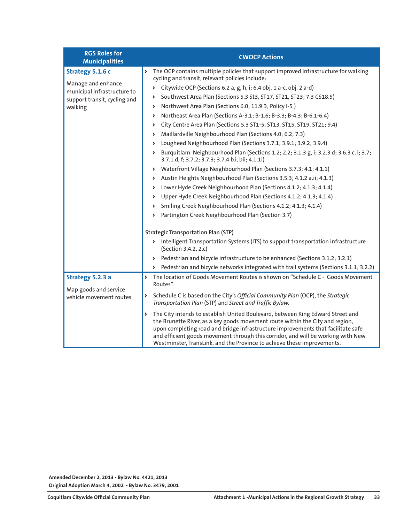| <b>RGS Roles for</b><br><b>Municipalities</b>                                                         | <b>CWOCP Actions</b>                                                                                                                                                                                                                                                                                                                                                                                                    |
|-------------------------------------------------------------------------------------------------------|-------------------------------------------------------------------------------------------------------------------------------------------------------------------------------------------------------------------------------------------------------------------------------------------------------------------------------------------------------------------------------------------------------------------------|
| Strategy 5.1.6 c<br>Manage and enhance<br>municipal infrastructure to<br>support transit, cycling and | The OCP contains multiple policies that support improved infrastructure for walking<br>Þ<br>cycling and transit, relevant policies include:                                                                                                                                                                                                                                                                             |
|                                                                                                       | Citywide OCP (Sections 6.2 a, g, h, i; 6.4 obj. 1 a-c, obj. 2 a-d)<br>Þ                                                                                                                                                                                                                                                                                                                                                 |
|                                                                                                       | Southwest Area Plan (Sections 5.3 St3, ST17, ST21, ST23; 7.3 CS18.5)<br>Þ                                                                                                                                                                                                                                                                                                                                               |
| walking                                                                                               | Northwest Area Plan (Sections 6.0; 11.9.3; Policy I-5)<br>Þ                                                                                                                                                                                                                                                                                                                                                             |
|                                                                                                       | Northeast Area Plan (Sections A-3.1; B-1.6; B-3.3; B-4.3; B-6.1-6.4)<br>Þ                                                                                                                                                                                                                                                                                                                                               |
|                                                                                                       | City Centre Area Plan (Sections 5.3 ST1-5, ST13, ST15, ST19, ST21; 9.4)<br>Þ                                                                                                                                                                                                                                                                                                                                            |
|                                                                                                       | Maillardville Neighbourhood Plan (Sections 4.0; 6.2; 7.3)<br>Þ                                                                                                                                                                                                                                                                                                                                                          |
|                                                                                                       | Lougheed Neighbourhood Plan (Sections 3.7.1; 3.9.1; 3.9.2; 3.9.4)<br>Þ                                                                                                                                                                                                                                                                                                                                                  |
|                                                                                                       | Burquitlam Neighbourhood Plan (Sections 1.2; 2.2; 3.1.3 g, i; 3.2.3 d; 3.6.3 c, i; 3.7;<br>Þ<br>3.7.1 d, f; 3.7.2; 3.7.3; 3.7.4 b.i, bii; 4.1.1i)                                                                                                                                                                                                                                                                       |
|                                                                                                       | Waterfront Village Neighbourhood Plan (Sections 3.7.3; 4.1; 4.1.1)<br>Þ                                                                                                                                                                                                                                                                                                                                                 |
|                                                                                                       | Austin Heights Neighbourhood Plan (Sections 3.5.3; 4.1.2 a.ii; 4.1.3)<br>Þ                                                                                                                                                                                                                                                                                                                                              |
|                                                                                                       | Lower Hyde Creek Neighbourhood Plan (Sections 4.1.2; 4.1.3; 4.1.4)<br>Þ                                                                                                                                                                                                                                                                                                                                                 |
|                                                                                                       | Upper Hyde Creek Neighbourhood Plan (Sections 4.1.2; 4.1.3; 4.1.4)<br>Þ                                                                                                                                                                                                                                                                                                                                                 |
|                                                                                                       | Smiling Creek Neighbourhood Plan (Sections 4.1.2; 4.1.3; 4.1.4)<br>Þ                                                                                                                                                                                                                                                                                                                                                    |
|                                                                                                       | Partington Creek Neighbourhood Plan (Section 3.7)<br>Þ                                                                                                                                                                                                                                                                                                                                                                  |
|                                                                                                       | <b>Strategic Transportation Plan (STP)</b>                                                                                                                                                                                                                                                                                                                                                                              |
|                                                                                                       | > Intelligent Transportation Systems (ITS) to support transportation infrastructure<br>(Section 3.4.2, 2.c)                                                                                                                                                                                                                                                                                                             |
|                                                                                                       | Pedestrian and bicycle infrastructure to be enhanced (Sections 3.1.2; 3.2.1)<br>Þ.                                                                                                                                                                                                                                                                                                                                      |
|                                                                                                       | Pedestrian and bicycle networks integrated with trail systems (Sections 3.1.1; 3.2.2)<br>Þ.                                                                                                                                                                                                                                                                                                                             |
| Strategy 5.2.3 a<br>Map goods and service<br>vehicle movement routes                                  | The location of Goods Movement Routes is shown on "Schedule C - Goods Movement<br>Þ<br>Routes"                                                                                                                                                                                                                                                                                                                          |
|                                                                                                       | Schedule C is based on the City's Official Community Plan (OCP), the Strategic<br>Þ<br>Transportation Plan (STP) and Street and Traffic Bylaw.                                                                                                                                                                                                                                                                          |
|                                                                                                       | The City intends to establish United Boulevard, between King Edward Street and<br>Þ<br>the Brunette River, as a key goods movement route within the City and region,<br>upon completing road and bridge infrastructure improvements that facilitate safe<br>and efficient goods movement through this corridor, and will be working with New<br>Westminster, TransLink, and the Province to achieve these improvements. |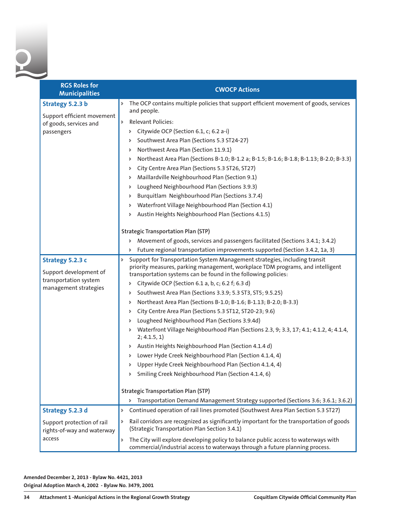| <b>RGS Roles for</b><br><b>Municipalities</b>                                                | <b>CWOCP Actions</b>                                                                                                                                                                                                                                                                                                                                                                                                                                                                                                                                                                                                                                                                                                                                                                                                                                                                                                                                                                                                                                                     |
|----------------------------------------------------------------------------------------------|--------------------------------------------------------------------------------------------------------------------------------------------------------------------------------------------------------------------------------------------------------------------------------------------------------------------------------------------------------------------------------------------------------------------------------------------------------------------------------------------------------------------------------------------------------------------------------------------------------------------------------------------------------------------------------------------------------------------------------------------------------------------------------------------------------------------------------------------------------------------------------------------------------------------------------------------------------------------------------------------------------------------------------------------------------------------------|
| Strategy 5.2.3 b<br>Support efficient movement<br>of goods, services and<br>passengers       | The OCP contains multiple policies that support efficient movement of goods, services<br>$\triangleright$<br>and people.<br><b>Relevant Policies:</b><br>$\triangleright$<br>Citywide OCP (Section 6.1, c; 6.2 a-i)<br>Þ<br>Southwest Area Plan (Sections 5.3 ST24-27)<br>Þ<br>Northwest Area Plan (Section 11.9.1)<br>Þ<br>Northeast Area Plan (Sections B-1.0; B-1.2 a; B-1.5; B-1.6; B-1.8; B-1.13; B-2.0; B-3.3)<br>Þ<br>City Centre Area Plan (Sections 5.3 ST26, ST27)<br>Þ<br>Maillardville Neighbourhood Plan (Section 9.1)<br>Þ<br>Lougheed Neighbourhood Plan (Sections 3.9.3)<br>Þ<br>Burquitlam Neighbourhood Plan (Sections 3.7.4)<br>Þ<br>Waterfront Village Neighbourhood Plan (Section 4.1)<br>Þ<br>Austin Heights Neighbourhood Plan (Sections 4.1.5)<br>Þ                                                                                                                                                                                                                                                                                              |
|                                                                                              | <b>Strategic Transportation Plan (STP)</b><br>Movement of goods, services and passengers facilitated (Sections 3.4.1; 3.4.2)<br>Þ<br>Future regional transportation improvements supported (Section 3.4.2, 1a, 3)<br>Þ                                                                                                                                                                                                                                                                                                                                                                                                                                                                                                                                                                                                                                                                                                                                                                                                                                                   |
| Strategy 5.2.3 c<br>Support development of<br>transportation system<br>management strategies | Support for Transportation System Management strategies, including transit<br>Þ<br>priority measures, parking management, workplace TDM programs, and intelligent<br>transportation systems can be found in the following policies:<br>Citywide OCP (Section 6.1 a, b, c; 6.2 f; 6.3 d)<br>Þ<br>Southwest Area Plan (Sections 3.3.9; 5.3 ST3, ST5; 9.5.25)<br>Þ<br>Northeast Area Plan (Sections B-1.0; B-1.6; B-1.13; B-2.0; B-3.3)<br>Þ<br>City Centre Area Plan (Sections 5.3 ST12, ST20-23; 9.6)<br>Þ<br>Lougheed Neighbourhood Plan (Sections 3.9.4d)<br>Þ<br>Waterfront Village Neighbourhood Plan (Sections 2.3, 9; 3.3, 17; 4.1; 4.1.2, 4; 4.1.4,<br>Þ<br>2; 4.1.5, 1)<br>Austin Heights Neighbourhood Plan (Section 4.1.4 d)<br>Þ<br>Lower Hyde Creek Neighbourhood Plan (Section 4.1.4, 4)<br>Þ<br>Upper Hyde Creek Neighbourhood Plan (Section 4.1.4, 4)<br>Þ<br>Smiling Creek Neighbourhood Plan (Section 4.1.4, 6)<br>Þ<br><b>Strategic Transportation Plan (STP)</b><br>> Transportation Demand Management Strategy supported (Sections 3.6; 3.6.1; 3.6.2) |
| Strategy 5.2.3 d<br>Support protection of rail<br>rights-of-way and waterway<br>access       | Continued operation of rail lines promoted (Southwest Area Plan Section 5.3 ST27)<br>Þ.<br>Rail corridors are recognized as significantly important for the transportation of goods<br>Þ.<br>(Strategic Transportation Plan Section 3.4.1)<br>The City will explore developing policy to balance public access to waterways with<br>Þ.<br>commercial/industrial access to waterways through a future planning process.                                                                                                                                                                                                                                                                                                                                                                                                                                                                                                                                                                                                                                                   |